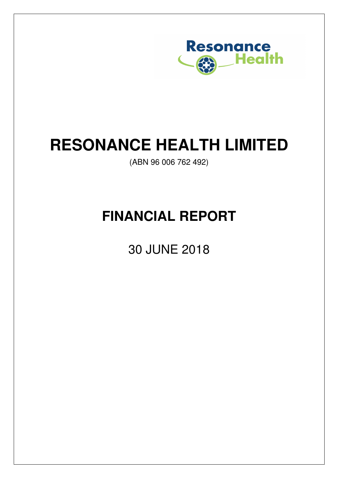

# **RESONANCE HEALTH LIMITED**

(ABN 96 006 762 492)

# **FINANCIAL REPORT**

30 JUNE 2018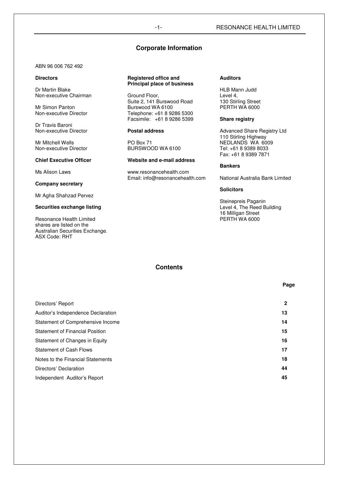# **Corporate Information**

ABN 96 006 762 492

#### **Directors**

Dr Martin Blake Non-executive Chairman

Mr Simon Panton Non-executive Director

Dr Travis Baroni Non-executive Director

Mr Mitchell Wells Non-executive Director

#### **Chief Executive Officer**

Ms Alison Laws

#### **Company secretary**

Mr Agha Shahzad Pervez

#### **Securities exchange listing**

Resonance Health Limited shares are listed on the Australian Securities Exchange. ASX Code: RHT

#### **Registered office and Principal place of business**

Ground Floor, Suite 2, 141 Burswood Road Burswood WA 6100 Telephone: +61 8 9286 5300 Facsimile: +61 8 9286 5399

#### **Postal address**

PO Box 71 BURSWOOD WA 6100

#### **Website and e-mail address**

www.resonancehealth.com Email: info@resonancehealth.com

#### **Auditors**

HLB Mann Judd Level 4, 130 Stirling Street PERTH WA 6000

#### **Share registry**

Advanced Share Registry Ltd 110 Stirling Highway NEDLANDS WA 6009 Tel: +61 8 9389 8033 Fax: +61 8 9389 7871

#### **Bankers**

National Australia Bank Limited

#### **Solicitors**

Steinepreis Paganin Level 4, The Reed Building 16 Milligan Street PERTH WA 6000

# **Contents**

# **Page**

| Directors' Report                  | 2  |
|------------------------------------|----|
| Auditor's Independence Declaration | 13 |
| Statement of Comprehensive Income  | 14 |
| Statement of Financial Position    | 15 |
| Statement of Changes in Equity     | 16 |
| <b>Statement of Cash Flows</b>     | 17 |
| Notes to the Financial Statements  | 18 |
| Directors' Declaration             | 44 |
| Independent Auditor's Report       | 45 |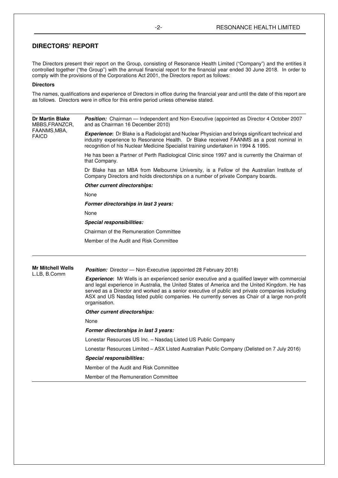# **DIRECTORS' REPORT**

The Directors present their report on the Group, consisting of Resonance Health Limited ("Company") and the entities it controlled together ("the Group") with the annual financial report for the financial year ended 30 June 2018. In order to comply with the provisions of the Corporations Act 2001, the Directors report as follows:

#### **Directors**

The names, qualifications and experience of Directors in office during the financial year and until the date of this report are as follows. Directors were in office for this entire period unless otherwise stated.

| Dr Martin Blake<br>MBBS, FRANZCR,<br>FAANMS,MBA,<br>FAICD | <b>Position:</b> Chairman — Independent and Non-Executive (appointed as Director 4 October 2007<br>and as Chairman 16 December 2010)                                                                                                                                                                                                                                                                                         |      |  |  |  |  |  |
|-----------------------------------------------------------|------------------------------------------------------------------------------------------------------------------------------------------------------------------------------------------------------------------------------------------------------------------------------------------------------------------------------------------------------------------------------------------------------------------------------|------|--|--|--|--|--|
|                                                           | <b>Experience:</b> Dr Blake is a Radiologist and Nuclear Physician and brings significant technical and<br>industry experience to Resonance Health. Dr Blake received FAANMS as a post nominal in<br>recognition of his Nuclear Medicine Specialist training undertaken in 1994 & 1995.<br>He has been a Partner of Perth Radiological Clinic since 1997 and is currently the Chairman of<br>that Company.                   |      |  |  |  |  |  |
|                                                           |                                                                                                                                                                                                                                                                                                                                                                                                                              |      |  |  |  |  |  |
|                                                           | Other current directorships:                                                                                                                                                                                                                                                                                                                                                                                                 |      |  |  |  |  |  |
|                                                           |                                                                                                                                                                                                                                                                                                                                                                                                                              | None |  |  |  |  |  |
|                                                           | Former directorships in last 3 years:                                                                                                                                                                                                                                                                                                                                                                                        |      |  |  |  |  |  |
|                                                           | None                                                                                                                                                                                                                                                                                                                                                                                                                         |      |  |  |  |  |  |
|                                                           | <b>Special responsibilities:</b>                                                                                                                                                                                                                                                                                                                                                                                             |      |  |  |  |  |  |
|                                                           | Chairman of the Remuneration Committee                                                                                                                                                                                                                                                                                                                                                                                       |      |  |  |  |  |  |
|                                                           | Member of the Audit and Risk Committee                                                                                                                                                                                                                                                                                                                                                                                       |      |  |  |  |  |  |
| <b>Mr Mitchell Wells</b>                                  | <b>Position:</b> Director - Non-Executive (appointed 28 February 2018)                                                                                                                                                                                                                                                                                                                                                       |      |  |  |  |  |  |
| L.LB, B.Comm                                              | <b>Experience:</b> Mr Wells is an experienced senior executive and a qualified lawyer with commercial<br>and legal experience in Australia, the United States of America and the United Kingdom. He has<br>served as a Director and worked as a senior executive of public and private companies including<br>ASX and US Nasdaq listed public companies. He currently serves as Chair of a large non-profit<br>organisation. |      |  |  |  |  |  |
|                                                           | Other current directorships:                                                                                                                                                                                                                                                                                                                                                                                                 |      |  |  |  |  |  |
|                                                           | None                                                                                                                                                                                                                                                                                                                                                                                                                         |      |  |  |  |  |  |
|                                                           | Former directorships in last 3 years:                                                                                                                                                                                                                                                                                                                                                                                        |      |  |  |  |  |  |
|                                                           | Lonestar Resources US Inc. - Nasdag Listed US Public Company                                                                                                                                                                                                                                                                                                                                                                 |      |  |  |  |  |  |
|                                                           | Lonestar Resources Limited – ASX Listed Australian Public Company (Delisted on 7 July 2016)                                                                                                                                                                                                                                                                                                                                  |      |  |  |  |  |  |
|                                                           | <b>Special responsibilities:</b>                                                                                                                                                                                                                                                                                                                                                                                             |      |  |  |  |  |  |
|                                                           | Member of the Audit and Risk Committee                                                                                                                                                                                                                                                                                                                                                                                       |      |  |  |  |  |  |
|                                                           | Member of the Remuneration Committee                                                                                                                                                                                                                                                                                                                                                                                         |      |  |  |  |  |  |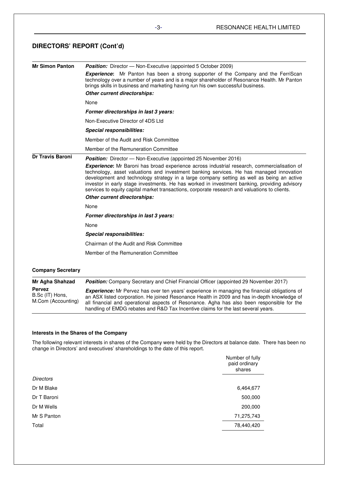| <b>Mr Simon Panton</b>   | <b>Position:</b> Director — Non-Executive (appointed 5 October 2009)                                                                                                                                                                                                                                                                                                                                                                                                                        |  |  |  |  |
|--------------------------|---------------------------------------------------------------------------------------------------------------------------------------------------------------------------------------------------------------------------------------------------------------------------------------------------------------------------------------------------------------------------------------------------------------------------------------------------------------------------------------------|--|--|--|--|
|                          | <b>Experience:</b> Mr Panton has been a strong supporter of the Company and the FerriScan<br>technology over a number of years and is a major shareholder of Resonance Health. Mr Panton<br>brings skills in business and marketing having run his own successful business.                                                                                                                                                                                                                 |  |  |  |  |
|                          | Other current directorships:                                                                                                                                                                                                                                                                                                                                                                                                                                                                |  |  |  |  |
|                          | None                                                                                                                                                                                                                                                                                                                                                                                                                                                                                        |  |  |  |  |
|                          | Former directorships in last 3 years:                                                                                                                                                                                                                                                                                                                                                                                                                                                       |  |  |  |  |
|                          | Non-Executive Director of 4DS Ltd                                                                                                                                                                                                                                                                                                                                                                                                                                                           |  |  |  |  |
|                          | Special responsibilities:                                                                                                                                                                                                                                                                                                                                                                                                                                                                   |  |  |  |  |
|                          | Member of the Audit and Risk Committee                                                                                                                                                                                                                                                                                                                                                                                                                                                      |  |  |  |  |
|                          | Member of the Remuneration Committee                                                                                                                                                                                                                                                                                                                                                                                                                                                        |  |  |  |  |
| Dr Travis Baroni         | <b>Position:</b> Director — Non-Executive (appointed 25 November 2016)                                                                                                                                                                                                                                                                                                                                                                                                                      |  |  |  |  |
|                          | <b>Experience:</b> Mr Baroni has broad experience across industrial research, commercialisation of<br>technology, asset valuations and investment banking services. He has managed innovation<br>development and technology strategy in a large company setting as well as being an active<br>investor in early stage investments. He has worked in investment banking, providing advisory<br>services to equity capital market transactions, corporate research and valuations to clients. |  |  |  |  |
|                          | Other current directorships:                                                                                                                                                                                                                                                                                                                                                                                                                                                                |  |  |  |  |
|                          | None                                                                                                                                                                                                                                                                                                                                                                                                                                                                                        |  |  |  |  |
|                          | Former directorships in last 3 years:                                                                                                                                                                                                                                                                                                                                                                                                                                                       |  |  |  |  |
|                          | None                                                                                                                                                                                                                                                                                                                                                                                                                                                                                        |  |  |  |  |
|                          | Special responsibilities:                                                                                                                                                                                                                                                                                                                                                                                                                                                                   |  |  |  |  |
|                          | Chairman of the Audit and Risk Committee                                                                                                                                                                                                                                                                                                                                                                                                                                                    |  |  |  |  |
|                          | Member of the Remuneration Committee                                                                                                                                                                                                                                                                                                                                                                                                                                                        |  |  |  |  |
|                          |                                                                                                                                                                                                                                                                                                                                                                                                                                                                                             |  |  |  |  |
| <b>Company Secretary</b> |                                                                                                                                                                                                                                                                                                                                                                                                                                                                                             |  |  |  |  |

**Mr Agha Shahzad Pervez**  B.Sc (IT) Hons, M.Com (Accounting) **Position:** Company Secretary and Chief Financial Officer (appointed 29 November 2017) **Experience:** Mr Pervez has over ten years' experience in managing the financial obligations of an ASX listed corporation. He joined Resonance Health in 2009 and has in-depth knowledge of all financial and operational aspects of Resonance. Agha has also been responsible for the handling of EMDG rebates and R&D Tax Incentive claims for the last several years.

#### **Interests in the Shares of the Company**

**DIRECTORS' REPORT (Cont'd)** 

The following relevant interests in shares of the Company were held by the Directors at balance date. There has been no change in Directors' and executives' shareholdings to the date of this report.

|                  | Number of fully<br>paid ordinary<br>shares |
|------------------|--------------------------------------------|
| <b>Directors</b> |                                            |
| Dr M Blake       | 6,464,677                                  |
| Dr T Baroni      | 500,000                                    |
| Dr M Wells       | 200,000                                    |
| Mr S Panton      | 71,275,743                                 |
| Total            | 78,440,420                                 |
|                  |                                            |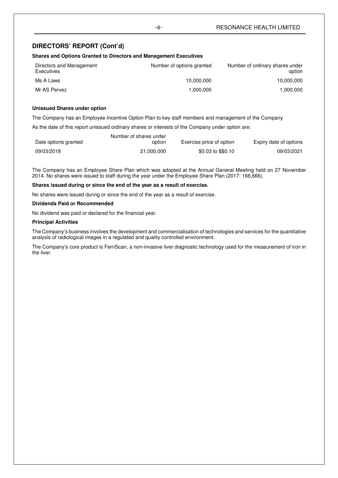#### **Shares and Options Granted to Directors and Management Executives**

| Directors and Management<br>Executives | Number of options granted | Number of ordinary shares under<br>option |
|----------------------------------------|---------------------------|-------------------------------------------|
| Ms A Laws                              | 10.000.000                | 10.000.000                                |
| Mr AS Pervez                           | 1,000.000                 | 1.000.000                                 |

#### **Unissued Shares under option**

The Company has an Employee Incentive Option Plan to key staff members and management of the Company

As the date of this report unissued ordinary shares or interests of the Company under option are:

|                      | Number of shares under |                          |                        |
|----------------------|------------------------|--------------------------|------------------------|
| Date options granted | option                 | Exercise price of option | Expiry date of options |
| 09/03/2018           | 21,000,000             | \$0.03 to \$\$0.10       | 09/03/2021             |

The Company has an Employee Share Plan which was adopted at the Annual General Meeting held on 27 November 2014. No shares were issued to staff during the year under the Employee Share Plan (2017: 166,666).

#### **Shares issued during or since the end of the year as a result of exercise.**

No shares were issued during or since the end of the year as a result of exercise.

#### **Dividends Paid or Recommended**

No dividend was paid or declared for the financial year.

#### **Principal Activities**

The Company's business involves the development and commercialisation of technologies and services for the quantitative analysis of radiological images in a regulated and quality controlled environment.

The Company's core product is FerriScan, a non-invasive liver diagnostic technology used for the measurement of iron in the liver.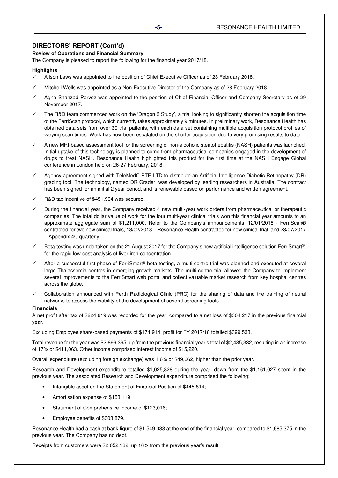## **Review of Operations and Financial Summary**

The Company is pleased to report the following for the financial year 2017/18.

# **Highlights**

- $\checkmark$  Alison Laws was appointed to the position of Chief Executive Officer as of 23 February 2018.
- $\checkmark$  Mitchell Wells was appointed as a Non-Executive Director of the Company as of 28 February 2018.
- Agha Shahzad Pervez was appointed to the position of Chief Financial Officer and Company Secretary as of 29 November 2017.
- The R&D team commenced work on the 'Dragon 2 Study', a trial looking to significantly shorten the acquisition time of the FerriScan protocol, which currently takes approximately 9 minutes. In preliminary work, Resonance Health has obtained data sets from over 30 trial patients, with each data set containing multiple acquisition protocol profiles of varying scan times. Work has now been escalated on the shorter acquisition due to very promising results to date.
- A new MRI-based assessment tool for the screening of non-alcoholic steatohepatitis (NASH) patients was launched. Initial uptake of this technology is planned to come from pharmaceutical companies engaged in the development of drugs to treat NASH. Resonance Health highlighted this product for the first time at the NASH Engage Global conference in London held on 26-27 February, 2018.
- Agency agreement signed with TeleMedC PTE LTD to distribute an Artificial Intelligence Diabetic Retinopathy (DR) grading tool. The technology, named DR Grader, was developed by leading researchers in Australia. The contract has been signed for an initial 2 year period, and is renewable based on performance and written agreement.
- $\checkmark$  R&D tax incentive of \$451,904 was secured.
- During the financial year, the Company received 4 new multi-year work orders from pharmaceutical or therapeutic companies. The total dollar value of work for the four multi-year clinical trials won this financial year amounts to an approximate aggregate sum of \$1,211,000. Refer to the Company's announcements; 12/01/2018 - FerriScan® contracted for two new clinical trials, 13/02/2018 – Resonance Health contracted for new clinical trial, and 23/07/2017 – Appendix 4C quarterly.
- Beta-testing was undertaken on the 21 August 2017 for the Company's new artificial intelligence solution FerriSmart®, for the rapid low-cost analysis of liver-iron-concentration.
- After a successful first phase of FerriSmart® beta-testing, a multi-centre trial was planned and executed at several large Thalassemia centres in emerging growth markets. The multi-centre trial allowed the Company to implement several improvements to the FerriSmart web portal and collect valuable market research from key hospital centres across the globe.
- Collaboration announced with Perth Radiological Clinic (PRC) for the sharing of data and the training of neural networks to assess the viability of the development of several screening tools.

#### **Financials**

A net profit after tax of \$224,619 was recorded for the year, compared to a net loss of \$304,217 in the previous financial year.

Excluding Employee share-based payments of \$174,914, profit for FY 2017/18 totalled \$399,533.

Total revenue for the year was \$2,896,395, up from the previous financial year's total of \$2,485,332, resulting in an increase of 17% or \$411,063. Other income comprised interest income of \$15,220.

Overall expenditure (excluding foreign exchange) was 1.6% or \$49,662, higher than the prior year.

Research and Development expenditure totalled \$1,025,828 during the year, down from the \$1,161,027 spent in the previous year. The associated Research and Development expenditure comprised the following:

- Intangible asset on the Statement of Financial Position of \$445,814;
- Amortisation expense of \$153,119;
- Statement of Comprehensive Income of \$123,016;
- Employee benefits of \$303,879.

Resonance Health had a cash at bank figure of \$1,549,088 at the end of the financial year, compared to \$1,685,375 in the previous year. The Company has no debt.

Receipts from customers were \$2,652,132, up 16% from the previous year's result.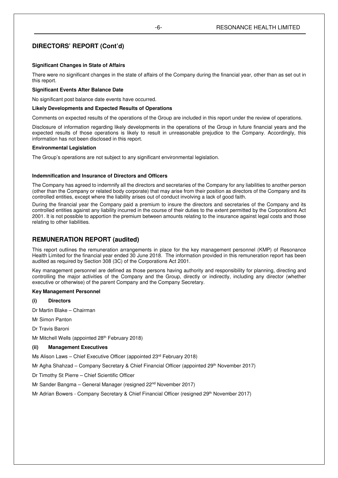# -6- RESONANCE HEALTH LIMITED

# **DIRECTORS' REPORT (Cont'd)**

#### **Significant Changes in State of Affairs**

There were no significant changes in the state of affairs of the Company during the financial year, other than as set out in this report.

#### **Significant Events After Balance Date**

No significant post balance date events have occurred.

#### **Likely Developments and Expected Results of Operations**

Comments on expected results of the operations of the Group are included in this report under the review of operations.

Disclosure of information regarding likely developments in the operations of the Group in future financial years and the expected results of those operations is likely to result in unreasonable prejudice to the Company. Accordingly, this information has not been disclosed in this report.

#### **Environmental Legislation**

The Group's operations are not subject to any significant environmental legislation.

#### **Indemnification and Insurance of Directors and Officers**

The Company has agreed to indemnify all the directors and secretaries of the Company for any liabilities to another person (other than the Company or related body corporate) that may arise from their position as directors of the Company and its controlled entities, except where the liability arises out of conduct involving a lack of good faith.

During the financial year the Company paid a premium to insure the directors and secretaries of the Company and its controlled entities against any liability incurred in the course of their duties to the extent permitted by the Corporations Act 2001. It is not possible to apportion the premium between amounts relating to the insurance against legal costs and those relating to other liabilities.

# **REMUNERATION REPORT (audited)**

This report outlines the remuneration arrangements in place for the key management personnel (KMP) of Resonance Health Limited for the financial year ended 30 June 2018. The information provided in this remuneration report has been audited as required by Section 308 (3C) of the Corporations Act 2001.

Key management personnel are defined as those persons having authority and responsibility for planning, directing and controlling the major activities of the Company and the Group, directly or indirectly, including any director (whether executive or otherwise) of the parent Company and the Company Secretary.

#### **Key Management Personnel**

**(i) Directors** 

Dr Martin Blake – Chairman

Mr Simon Panton

Dr Travis Baroni

Mr Mitchell Wells (appointed 28<sup>th</sup> February 2018)

#### **(ii) Management Executives**

Ms Alison Laws - Chief Executive Officer (appointed 23<sup>rd</sup> February 2018)

Mr Agha Shahzad – Company Secretary & Chief Financial Officer (appointed 29th November 2017)

Dr Timothy St Pierre – Chief Scientific Officer

Mr Sander Bangma – General Manager (resigned 22<sup>nd</sup> November 2017)

Mr Adrian Bowers - Company Secretary & Chief Financial Officer (resigned 29th November 2017)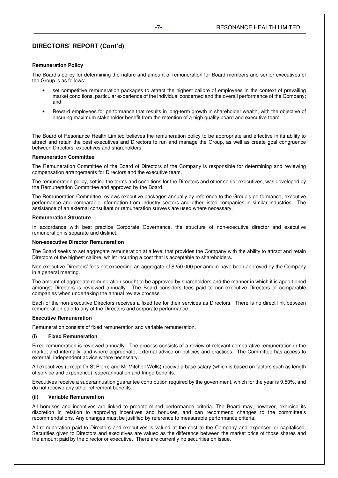# -7- RESONANCE HEALTH LIMITED

# **DIRECTORS' REPORT (Cont'd)**

#### **Remuneration Policy**

The Board's policy for determining the nature and amount of remuneration for Board members and senior executives of the Group is as follows:

- set competitive remuneration packages to attract the highest calibre of employees in the context of prevailing market conditions, particular experience of the individual concerned and the overall performance of the Company; and
- Reward employees for performance that results in long-term growth in shareholder wealth, with the objective of ensuring maximum stakeholder benefit from the retention of a high quality board and executive team.

The Board of Resonance Health Limited believes the remuneration policy to be appropriate and effective in its ability to attract and retain the best executives and Directors to run and manage the Group, as well as create goal congruence between Directors, executives and shareholders.

#### **Remuneration Committee**

The Remuneration Committee of the Board of Directors of the Company is responsible for determining and reviewing compensation arrangements for Directors and the executive team.

The remuneration policy, setting the terms and conditions for the Directors and other senior executives, was developed by the Remuneration Committee and approved by the Board.

The Remuneration Committee reviews executive packages annually by reference to the Group's performance, executive performance and comparable information from industry sectors and other listed companies in similar industries. The assistance of an external consultant or remuneration surveys are used where necessary.

#### **Remuneration Structure**

In accordance with best practice Corporate Governance, the structure of non-executive director and executive remuneration is separate and distinct.

#### **Non-executive Director Remuneration**

The Board seeks to set aggregate remuneration at a level that provides the Company with the ability to attract and retain Directors of the highest calibre, whilst incurring a cost that is acceptable to shareholders.

Non-executive Directors' fees not exceeding an aggregate of \$250,000 per annum have been approved by the Company in a general meeting.

The amount of aggregate remuneration sought to be approved by shareholders and the manner in which it is apportioned amongst Directors is reviewed annually. The Board considers fees paid to non-executive Directors of comparable companies when undertaking the annual review process.

Each of the non-executive Directors receives a fixed fee for their services as Directors. There is no direct link between remuneration paid to any of the Directors and corporate performance.

#### **Executive Remuneration**

Remuneration consists of fixed remuneration and variable remuneration.

#### **(i) Fixed Remuneration**

Fixed remuneration is reviewed annually. The process consists of a review of relevant comparative remuneration in the market and internally, and where appropriate, external advice on policies and practices. The Committee has access to external, independent advice where necessary.

All executives (except Dr St Pierre and Mr Mitchell Wells) receive a base salary (which is based on factors such as length of service and experience), superannuation and fringe benefits.

Executives receive a superannuation guarantee contribution required by the government, which for the year is 9.50%, and do not receive any other retirement benefits.

#### **(ii) Variable Remuneration**

All bonuses and incentives are linked to predetermined performance criteria. The Board may, however, exercise its discretion in relation to approving incentives and bonuses, and can recommend changes to the committee's recommendations. Any changes must be justified by reference to measurable performance criteria.

All remuneration paid to Directors and executives is valued at the cost to the Company and expensed or capitalised. Securities given to Directors and executives are valued as the difference between the market price of those shares and the amount paid by the director or executive. There are currently no securities on issue.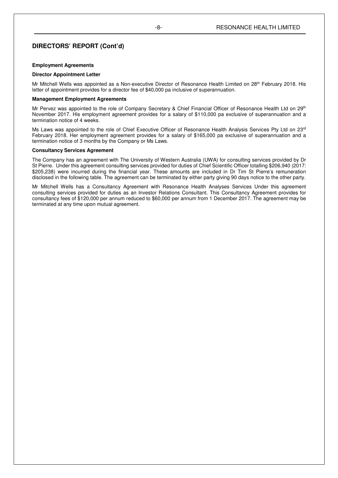#### **Employment Agreements**

#### **Director Appointment Letter**

Mr Mitchell Wells was appointed as a Non-executive Director of Resonance Health Limited on 28<sup>th</sup> February 2018. His letter of appointment provides for a director fee of \$40,000 pa inclusive of superannuation.

#### **Management Employment Agreements**

Mr Pervez was appointed to the role of Company Secretary & Chief Financial Officer of Resonance Health Ltd on 29<sup>th</sup> November 2017. His employment agreement provides for a salary of \$110,000 pa exclusive of superannuation and a termination notice of 4 weeks.

Ms Laws was appointed to the role of Chief Executive Officer of Resonance Health Analysis Services Pty Ltd on 23<sup>rd</sup> February 2018. Her employment agreement provides for a salary of \$165,000 pa exclusive of superannuation and a termination notice of 3 months by the Company or Ms Laws.

#### **Consultancy Services Agreement**

The Company has an agreement with The University of Western Australia (UWA) for consulting services provided by Dr St Pierre. Under this agreement consulting services provided for duties of Chief Scientific Officer totalling \$206,940 (2017: \$205,238) were incurred during the financial year. These amounts are included in Dr Tim St Pierre's remuneration disclosed in the following table. The agreement can be terminated by either party giving 90 days notice to the other party.

Mr Mitchell Wells has a Consultancy Agreement with Resonance Health Analyses Services Under this agreement consulting services provided for duties as an Investor Relations Consultant. This Consultancy Agreement provides for consultancy fees of \$120,000 per annum reduced to \$60,000 per annum from 1 December 2017. The agreement may be terminated at any time upon mutual agreement.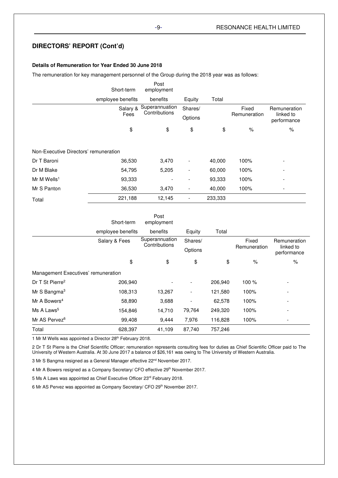#### **Details of Remuneration for Year Ended 30 June 2018**

The remuneration for key management personnel of the Group during the 2018 year was as follows:

|                                       | Short-term        | Post<br>employment              |         |         |              |                          |
|---------------------------------------|-------------------|---------------------------------|---------|---------|--------------|--------------------------|
|                                       | employee benefits | benefits                        | Equity  | Total   |              |                          |
|                                       | Salary &          | Superannuation<br>Contributions | Shares/ |         | Fixed        | Remuneration             |
|                                       | Fees              |                                 | Options |         | Remuneration | linked to<br>performance |
|                                       | \$                | \$                              | \$      | \$      | $\%$         | $\%$                     |
| Non-Executive Directors' remuneration |                   |                                 |         |         |              |                          |
| Dr T Baroni                           | 36,530            | 3,470                           |         | 40,000  | 100%         |                          |
| Dr M Blake                            | 54,795            | 5,205                           |         | 60,000  | 100%         | $\overline{a}$           |
| Mr M Wells <sup>1</sup>               | 93,333            |                                 |         | 93,333  | 100%         | $\overline{a}$           |
| Mr S Panton                           | 36,530            | 3,470                           |         | 40,000  | 100%         | $\overline{a}$           |
| Total                                 | 221,188           | 12,145                          |         | 233,333 |              |                          |

|                                     | Short-term        | Post<br>employment              |                          |         |                       |                                          |
|-------------------------------------|-------------------|---------------------------------|--------------------------|---------|-----------------------|------------------------------------------|
|                                     | employee benefits | benefits                        | Equity                   | Total   |                       |                                          |
|                                     | Salary & Fees     | Superannuation<br>Contributions | Shares/<br>Options       |         | Fixed<br>Remuneration | Remuneration<br>linked to<br>performance |
|                                     | \$                | \$                              | \$                       | \$      | $\%$                  | $\frac{9}{6}$                            |
| Management Executives' remuneration |                   |                                 |                          |         |                       |                                          |
| Dr T St Pierre <sup>2</sup>         | 206,940           |                                 |                          | 206,940 | 100 %                 |                                          |
| Mr S Bangma <sup>3</sup>            | 108,313           | 13,267                          | $\overline{\phantom{a}}$ | 121,580 | 100%                  |                                          |
| Mr A Bowers <sup>4</sup>            | 58,890            | 3,688                           |                          | 62,578  | 100%                  |                                          |
| Ms A Laws <sup>5</sup>              | 154,846           | 14,710                          | 79,764                   | 249,320 | 100%                  |                                          |
| Mr AS Pervez <sup>6</sup>           | 99,408            | 9,444                           | 7,976                    | 116,828 | 100%                  |                                          |
| Total                               | 628,397           | 41,109                          | 87,740                   | 757,246 |                       |                                          |

1 Mr M Wells was appointed a Director 28th February 2018.

2 Dr T St Pierre is the Chief Scientific Officer; remuneration represents consulting fees for duties as Chief Scientific Officer paid to The University of Western Australia. At 30 June 2017 a balance of \$26,161 was owing to The University of Western Australia.

3 Mr S Bangma resigned as a General Manager effective 22nd November 2017.

4 Mr A Bowers resigned as a Company Secretary/ CFO effective 29<sup>th</sup> November 2017.

5 Ms A Laws was appointed as Chief Executive Officer 23rd February 2018.

6 Mr AS Pervez was appointed as Company Secretary/ CFO 29<sup>th</sup> November 2017.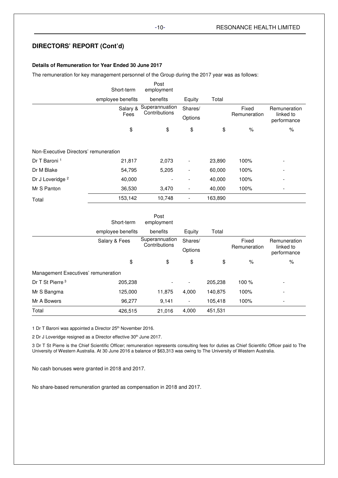#### **Details of Remuneration for Year Ended 30 June 2017**

The remuneration for key management personnel of the Group during the 2017 year was as follows:

|                                       | Short-term        | Post<br>employment              |                    |         |                       |                                          |
|---------------------------------------|-------------------|---------------------------------|--------------------|---------|-----------------------|------------------------------------------|
|                                       | employee benefits | benefits                        | Equity             | Total   |                       |                                          |
|                                       | Salary &<br>Fees  | Superannuation<br>Contributions | Shares/<br>Options |         | Fixed<br>Remuneration | Remuneration<br>linked to<br>performance |
|                                       | \$                | \$                              | \$                 | \$      | $\%$                  | $\%$                                     |
| Non-Executive Directors' remuneration |                   |                                 |                    |         |                       |                                          |
| Dr T Baroni <sup>1</sup>              | 21,817            | 2,073                           |                    | 23,890  | 100%                  |                                          |
| Dr M Blake                            | 54,795            | 5,205                           |                    | 60,000  | 100%                  | $\qquad \qquad \blacksquare$             |
| Dr J Loveridge <sup>2</sup>           | 40,000            |                                 |                    | 40,000  | 100%                  |                                          |
| Mr S Panton                           | 36,530            | 3,470                           |                    | 40,000  | 100%                  |                                          |
| Total                                 | 153,142           | 10,748                          |                    | 163,890 |                       |                                          |

|                                     | Short-term        | Post<br>employment              |                          |         |              |                          |
|-------------------------------------|-------------------|---------------------------------|--------------------------|---------|--------------|--------------------------|
|                                     | employee benefits | benefits                        | Equity                   | Total   |              |                          |
|                                     | Salary & Fees     | Superannuation<br>Contributions | Shares/                  |         | Fixed        | Remuneration             |
|                                     |                   |                                 | Options                  |         | Remuneration | linked to<br>performance |
|                                     | \$                | \$                              | \$                       | \$      | $\%$         | $\%$                     |
| Management Executives' remuneration |                   |                                 |                          |         |              |                          |
| Dr T St Pierre <sup>3</sup>         | 205,238           |                                 |                          | 205,238 | 100 %        |                          |
| Mr S Bangma                         | 125,000           | 11,875                          | 4,000                    | 140,875 | 100%         |                          |
| Mr A Bowers                         | 96,277            | 9,141                           | $\overline{\phantom{a}}$ | 105,418 | 100%         | -                        |
| Total                               | 426,515           | 21,016                          | 4,000                    | 451,531 |              |                          |

1 Dr T Baroni was appointed a Director 25<sup>th</sup> November 2016.

2 Dr J Loveridge resigned as a Director effective 30<sup>th</sup> June 2017.

3 Dr T St Pierre is the Chief Scientific Officer; remuneration represents consulting fees for duties as Chief Scientific Officer paid to The University of Western Australia. At 30 June 2016 a balance of \$63,313 was owing to The University of Western Australia.

No cash bonuses were granted in 2018 and 2017.

No share-based remuneration granted as compensation in 2018 and 2017.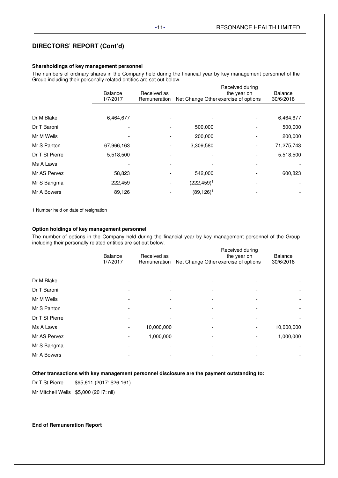#### **Shareholdings of key management personnel**

The numbers of ordinary shares in the Company held during the financial year by key management personnel of the Group including their personally related entities are set out below.

|                | <b>Balance</b><br>1/7/2017 | Received as<br>Remuneration | Net Change Other exercise of options | <b>Balance</b><br>30/6/2018 |            |
|----------------|----------------------------|-----------------------------|--------------------------------------|-----------------------------|------------|
|                |                            |                             |                                      |                             |            |
| Dr M Blake     | 6,464,677                  |                             |                                      |                             | 6,464,677  |
| Dr T Baroni    |                            |                             | 500,000                              |                             | 500,000    |
| Mr M Wells     |                            |                             | 200,000                              |                             | 200,000    |
| Mr S Panton    | 67,966,163                 |                             | 3,309,580                            |                             | 71,275,743 |
| Dr T St Pierre | 5,518,500                  |                             |                                      |                             | 5,518,500  |
| Ms A Laws      |                            |                             |                                      |                             |            |
| Mr AS Pervez   | 58,823                     |                             | 542,000                              |                             | 600,823    |
| Mr S Bangma    | 222,459                    |                             | $(222, 459)^1$                       |                             |            |
| Mr A Bowers    | 89,126                     |                             | $(89, 126)^1$                        |                             |            |

1 Number held on date of resignation

#### **Option holdings of key management personnel**

The number of options in the Company held during the financial year by key management personnel of the Group including their personally related entities are set out below.

|                | <b>Balance</b><br>1/7/2017 | Received as<br>Remuneration | Received during<br>the year on<br>Net Change Other exercise of options | <b>Balance</b><br>30/6/2018 |
|----------------|----------------------------|-----------------------------|------------------------------------------------------------------------|-----------------------------|
|                |                            |                             |                                                                        |                             |
| Dr M Blake     |                            |                             |                                                                        |                             |
| Dr T Baroni    |                            |                             |                                                                        |                             |
| Mr M Wells     |                            |                             |                                                                        |                             |
| Mr S Panton    |                            |                             |                                                                        |                             |
| Dr T St Pierre |                            |                             |                                                                        |                             |
| Ms A Laws      |                            | 10,000,000                  |                                                                        | 10,000,000                  |
| Mr AS Pervez   |                            | 1,000,000                   |                                                                        | 1,000,000                   |
| Mr S Bangma    |                            |                             |                                                                        |                             |
| Mr A Bowers    |                            |                             |                                                                        |                             |

**Other transactions with key management personnel disclosure are the payment outstanding to:** 

Dr T St Pierre \$95,611 (2017: \$26,161) Mr Mitchell Wells \$5,000 (2017: nil)

**End of Remuneration Report**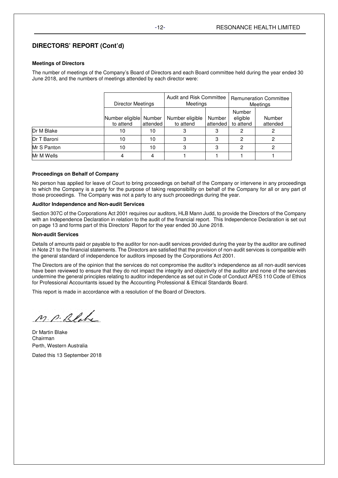#### **Meetings of Directors**

The number of meetings of the Company's Board of Directors and each Board committee held during the year ended 30 June 2018, and the numbers of meetings attended by each director were:

|             | <b>Director Meetings</b>            |          | Audit and Risk Committee<br><b>Meetings</b> |                    | <b>Remuneration Committee</b><br>Meetings |                    |
|-------------|-------------------------------------|----------|---------------------------------------------|--------------------|-------------------------------------------|--------------------|
|             | Number eligible Number<br>to attend | attended | Number eligible<br>to attend                | Number<br>attended | Number<br>eligible<br>to attend           | Number<br>attended |
| Dr M Blake  | 10                                  | 10       | 3                                           | 3                  | 2                                         |                    |
| Dr T Baroni | 10                                  | 10       | 3                                           | 3                  | 2                                         |                    |
| Mr S Panton | 10                                  | 10       | 3                                           | З                  | 2                                         |                    |
| Mr M Wells  |                                     |          |                                             |                    |                                           |                    |

#### **Proceedings on Behalf of Company**

No person has applied for leave of Court to bring proceedings on behalf of the Company or intervene in any proceedings to which the Company is a party for the purpose of taking responsibility on behalf of the Company for all or any part of those proceedings. The Company was not a party to any such proceedings during the year.

#### **Auditor Independence and Non-audit Services**

Section 307C of the Corporations Act 2001 requires our auditors, HLB Mann Judd, to provide the Directors of the Company with an Independence Declaration in relation to the audit of the financial report. This Independence Declaration is set out on page 13 and forms part of this Directors' Report for the year ended 30 June 2018.

#### **Non-audit Services**

Details of amounts paid or payable to the auditor for non-audit services provided during the year by the auditor are outlined in Note 21 to the financial statements. The Directors are satisfied that the provision of non-audit services is compatible with the general standard of independence for auditors imposed by the Corporations Act 2001.

The Directors are of the opinion that the services do not compromise the auditor's independence as all non-audit services have been reviewed to ensure that they do not impact the integrity and objectivity of the auditor and none of the services undermine the general principles relating to auditor independence as set out in Code of Conduct APES 110 Code of Ethics for Professional Accountants issued by the Accounting Professional & Ethical Standards Board.

This report is made in accordance with a resolution of the Board of Directors.

M. P. Blake

Dr Martin Blake Chairman Perth, Western Australia Dated this 13 September 2018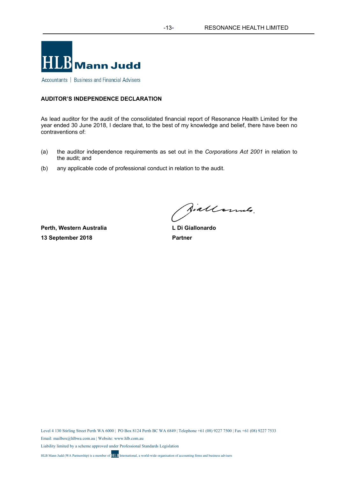

Accountants | Business and Financial Advisers

# **AUDITOR'S INDEPENDENCE DECLARATION**

As lead auditor for the audit of the consolidated financial report of Resonance Health Limited for the year ended 30 June 2018, I declare that, to the best of my knowledge and belief, there have been no contraventions of:

- (a) the auditor independence requirements as set out in the *Corporations Act 2001* in relation to the audit; and
- (b) any applicable code of professional conduct in relation to the audit.

**Perth, Western Australia 13 September 2018**

Jiallounes.

**L Di Giallonardo Partner**

Level 4 130 Stirling Street Perth WA 6000 | PO Box 8124 Perth BC WA 6849 | Telephone +61 (08) 9227 7500 | Fax +61 (08) 9227 7533 Email: mailbox@hlbwa.com.au | Website: www.hlb.com.au Liability limited by a scheme approved under Professional Standards Legislation HLB Mann Judd (WA Partnership) is a member of **HLB** International, a world-wide organisation of accounting firms and business advisers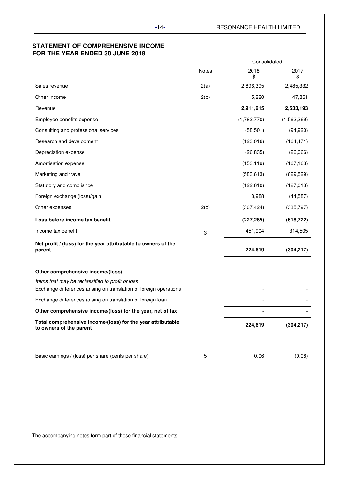# **STATEMENT OF COMPREHENSIVE INCOME FOR THE YEAR ENDED 30 JUNE 2018**

|                                                                                                                       |       | Consolidated |             |
|-----------------------------------------------------------------------------------------------------------------------|-------|--------------|-------------|
|                                                                                                                       | Notes | 2018<br>\$   | 2017<br>\$  |
| Sales revenue                                                                                                         | 2(a)  | 2,896,395    | 2,485,332   |
| Other income                                                                                                          | 2(b)  | 15,220       | 47,861      |
| Revenue                                                                                                               |       | 2,911,615    | 2,533,193   |
| Employee benefits expense                                                                                             |       | (1,782,770)  | (1,562,369) |
| Consulting and professional services                                                                                  |       | (58, 501)    | (94, 920)   |
| Research and development                                                                                              |       | (123, 016)   | (164, 471)  |
| Depreciation expense                                                                                                  |       | (26, 835)    | (26,066)    |
| Amortisation expense                                                                                                  |       | (153, 119)   | (167, 163)  |
| Marketing and travel                                                                                                  |       | (583, 613)   | (629, 529)  |
| Statutory and compliance                                                                                              |       | (122, 610)   | (127, 013)  |
| Foreign exchange (loss)/gain                                                                                          |       | 18,988       | (44, 587)   |
| Other expenses                                                                                                        | 2(c)  | (307, 424)   | (335, 797)  |
| Loss before income tax benefit                                                                                        |       | (227, 285)   | (618, 722)  |
| Income tax benefit                                                                                                    | 3     | 451,904      | 314,505     |
| Net profit / (loss) for the year attributable to owners of the<br>parent                                              |       | 224,619      | (304, 217)  |
| Other comprehensive income/(loss)                                                                                     |       |              |             |
| Items that may be reclassified to profit or loss<br>Exchange differences arising on translation of foreign operations |       |              |             |
| Exchange differences arising on translation of foreign loan                                                           |       |              |             |
| Other comprehensive income/(loss) for the year, net of tax                                                            |       |              |             |
| Total comprehensive income/(loss) for the year attributable<br>to owners of the parent                                |       | 224,619      | (304, 217)  |
| Basic earnings / (loss) per share (cents per share)                                                                   | 5     | 0.06         | (0.08)      |

The accompanying notes form part of these financial statements.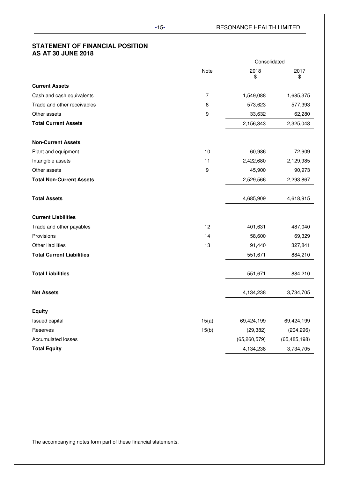# **STATEMENT OF FINANCIAL POSITION AS AT 30 JUNE 2018**

|                                  | Consolidated |                |                |  |
|----------------------------------|--------------|----------------|----------------|--|
|                                  | Note         | 2018<br>\$     | 2017<br>\$     |  |
| <b>Current Assets</b>            |              |                |                |  |
| Cash and cash equivalents        | 7            | 1,549,088      | 1,685,375      |  |
| Trade and other receivables      | 8            | 573,623        | 577,393        |  |
| Other assets                     | 9            | 33,632         | 62,280         |  |
| <b>Total Current Assets</b>      |              | 2,156,343      | 2,325,048      |  |
| <b>Non-Current Assets</b>        |              |                |                |  |
| Plant and equipment              | 10           | 60,986         | 72,909         |  |
| Intangible assets                | 11           | 2,422,680      | 2,129,985      |  |
| Other assets                     | 9            | 45,900         | 90,973         |  |
| <b>Total Non-Current Assets</b>  |              | 2,529,566      | 2,293,867      |  |
| <b>Total Assets</b>              |              | 4,685,909      | 4,618,915      |  |
| <b>Current Liabilities</b>       |              |                |                |  |
| Trade and other payables         | 12           | 401,631        | 487,040        |  |
| Provisions                       | 14           | 58,600         | 69,329         |  |
| <b>Other liabilities</b>         | 13           | 91,440         | 327,841        |  |
| <b>Total Current Liabilities</b> |              | 551,671        | 884,210        |  |
| <b>Total Liabilities</b>         |              | 551,671        | 884,210        |  |
| <b>Net Assets</b>                |              | 4,134,238      | 3,734,705      |  |
| <b>Equity</b>                    |              |                |                |  |
| Issued capital                   | 15(a)        | 69,424,199     | 69,424,199     |  |
| Reserves                         | 15(b)        | (29, 382)      | (204, 296)     |  |
| <b>Accumulated losses</b>        |              | (65, 260, 579) | (65, 485, 198) |  |
| <b>Total Equity</b>              |              | 4,134,238      | 3,734,705      |  |

The accompanying notes form part of these financial statements.

-15- RESONANCE HEALTH LIMITED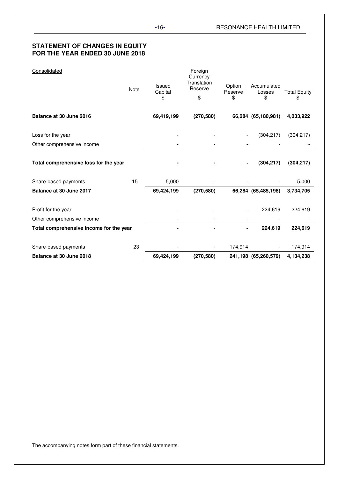# **STATEMENT OF CHANGES IN EQUITY FOR THE YEAR ENDED 30 JUNE 2018**

| Consolidated                            | Note | Issued<br>Capital<br>\$ | Foreign<br>Currency<br>Translation<br>Reserve<br>\$ | Option<br>Reserve<br>\$ | Accumulated<br>Losses<br>\$ | <b>Total Equity</b><br>\$ |
|-----------------------------------------|------|-------------------------|-----------------------------------------------------|-------------------------|-----------------------------|---------------------------|
| Balance at 30 June 2016                 |      | 69,419,199              | (270, 580)                                          |                         | 66,284 (65,180,981)         | 4,033,922                 |
| Loss for the year                       |      |                         |                                                     |                         | (304, 217)                  | (304, 217)                |
| Other comprehensive income              |      |                         |                                                     |                         |                             |                           |
| Total comprehensive loss for the year   |      |                         |                                                     |                         | (304, 217)                  | (304, 217)                |
| Share-based payments                    | 15   | 5,000                   |                                                     |                         |                             | 5,000                     |
| Balance at 30 June 2017                 |      | 69,424,199              | (270, 580)                                          |                         | 66,284 (65,485,198)         | 3,734,705                 |
| Profit for the year                     |      |                         |                                                     |                         | 224,619                     | 224,619                   |
| Other comprehensive income              |      |                         |                                                     |                         |                             |                           |
| Total comprehensive income for the year |      |                         |                                                     |                         | 224,619                     | 224,619                   |
| Share-based payments                    | 23   |                         |                                                     | 174,914                 |                             | 174,914                   |
| Balance at 30 June 2018                 |      | 69,424,199              | (270, 580)                                          | 241,198                 | (65, 260, 579)              | 4,134,238                 |

The accompanying notes form part of these financial statements.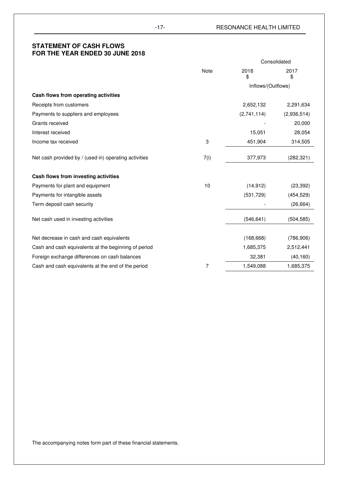# **STATEMENT OF CASH FLOWS FOR THE YEAR ENDED 30 JUNE 2018**

|                                                       |      | Consolidated       |             |  |
|-------------------------------------------------------|------|--------------------|-------------|--|
|                                                       | Note | 2018<br>\$         | 2017<br>\$  |  |
|                                                       |      | Inflows/(Outflows) |             |  |
| Cash flows from operating activities                  |      |                    |             |  |
| Receipts from customers                               |      | 2,652,132          | 2,291,634   |  |
| Payments to suppliers and employees                   |      | (2,741,114)        | (2,936,514) |  |
| Grants received                                       |      |                    | 20,000      |  |
| Interest received                                     |      | 15,051             | 28,054      |  |
| Income tax received                                   | 3    | 451,904            | 314,505     |  |
| Net cash provided by / (used in) operating activities | 7(i) | 377,973            | (282, 321)  |  |
| Cash flows from investing activities                  |      |                    |             |  |
| Payments for plant and equipment                      | 10   | (14, 912)          | (23, 392)   |  |
| Payments for intangible assets                        |      | (531, 729)         | (454, 529)  |  |
| Term deposit cash security                            |      |                    | (26, 664)   |  |
| Net cash used in investing activities                 |      | (546, 641)         | (504, 585)  |  |
| Net decrease in cash and cash equivalents             |      | (168, 668)         | (786, 906)  |  |
| Cash and cash equivalents at the beginning of period  |      | 1,685,375          | 2,512,441   |  |
| Foreign exchange differences on cash balances         |      | 32,381             | (40, 160)   |  |
| Cash and cash equivalents at the end of the period    | 7    | 1,549,088          | 1,685,375   |  |

The accompanying notes form part of these financial statements.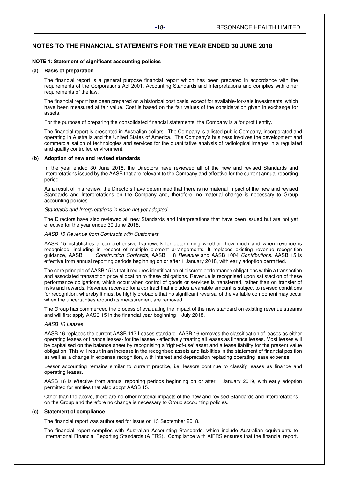#### **NOTE 1: Statement of significant accounting policies**

#### **(a) Basis of preparation**

 The financial report is a general purpose financial report which has been prepared in accordance with the requirements of the Corporations Act 2001, Accounting Standards and Interpretations and complies with other requirements of the law.

 The financial report has been prepared on a historical cost basis, except for available-for-sale investments, which have been measured at fair value. Cost is based on the fair values of the consideration given in exchange for assets.

For the purpose of preparing the consolidated financial statements, the Company is a for profit entity.

 The financial report is presented in Australian dollars. The Company is a listed public Company, incorporated and operating in Australia and the United States of America. The Company's business involves the development and commercialisation of technologies and services for the quantitative analysis of radiological images in a regulated and quality controlled environment.

#### **(b) Adoption of new and revised standards**

 In the year ended 30 June 2018, the Directors have reviewed all of the new and revised Standards and Interpretations issued by the AASB that are relevant to the Company and effective for the current annual reporting period.

 As a result of this review, the Directors have determined that there is no material impact of the new and revised Standards and Interpretations on the Company and, therefore, no material change is necessary to Group accounting policies.

#### Standards and Interpretations in issue not yet adopted

The Directors have also reviewed all new Standards and Interpretations that have been issued but are not yet effective for the year ended 30 June 2018.

#### AASB 15 Revenue from Contracts with Customers

AASB 15 establishes a comprehensive framework for determining whether, how much and when revenue is recognised, including in respect of multiple element arrangements. It replaces existing revenue recognition guidance, AASB 111 Construction Contracts, AASB 118 Revenue and AASB 1004 Contributions. AASB 15 is effective from annual reporting periods beginning on or after 1 January 2018, with early adoption permitted.

The core principle of AASB 15 is that it requires identification of discrete performance obligations within a transaction and associated transaction price allocation to these obligations. Revenue is recognised upon satisfaction of these performance obligations, which occur when control of goods or services is transferred, rather than on transfer of risks and rewards. Revenue received for a contract that includes a variable amount is subject to revised conditions for recognition, whereby it must be highly probable that no significant reversal of the variable component may occur when the uncertainties around its measurement are removed.

The Group has commenced the process of evaluating the impact of the new standard on existing revenue streams and will first apply AASB 15 in the financial year beginning 1 July 2018.

#### AASB 16 Leases

AASB 16 replaces the current AASB 117 Leases standard. AASB 16 removes the classification of leases as either operating leases or finance leases- for the lessee - effectively treating all leases as finance leases. Most leases will be capitalised on the balance sheet by recognising a 'right-of-use' asset and a lease liability for the present value obligation. This will result in an increase in the recognised assets and liabilities in the statement of financial position as well as a change in expense recognition, with interest and deprecation replacing operating lease expense.

Lessor accounting remains similar to current practice, i.e. lessors continue to classify leases as finance and operating leases.

AASB 16 is effective from annual reporting periods beginning on or after 1 January 2019, with early adoption permitted for entities that also adopt AASB 15.

Other than the above, there are no other material impacts of the new and revised Standards and Interpretations on the Group and therefore no change is necessary to Group accounting policies.

#### **(c) Statement of compliance**

The financial report was authorised for issue on 13 September 2018.

The financial report complies with Australian Accounting Standards, which include Australian equivalents to International Financial Reporting Standards (AIFRS). Compliance with AIFRS ensures that the financial report,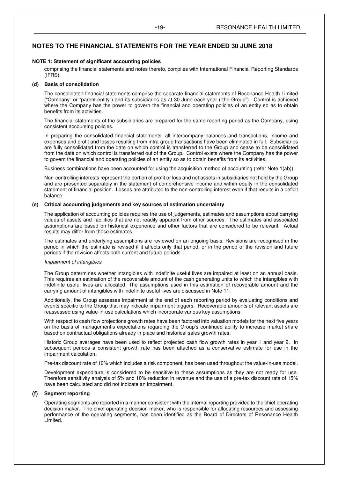#### **NOTE 1: Statement of significant accounting policies**

comprising the financial statements and notes thereto, complies with International Financial Reporting Standards (IFRS).

#### **(d) Basis of consolidation**

 The consolidated financial statements comprise the separate financial statements of Resonance Health Limited ("Company" or "parent entity") and its subsidiaries as at 30 June each year ("the Group"). Control is achieved where the Company has the power to govern the financial and operating policies of an entity so as to obtain benefits from its activities.

 The financial statements of the subsidiaries are prepared for the same reporting period as the Company, using consistent accounting policies.

 In preparing the consolidated financial statements, all intercompany balances and transactions, income and expenses and profit and losses resulting from intra-group transactions have been eliminated in full. Subsidiaries are fully consolidated from the date on which control is transferred to the Group and cease to be consolidated from the date on which control is transferred out of the Group. Control exists where the Company has the power to govern the financial and operating policies of an entity so as to obtain benefits from its activities.

Business combinations have been accounted for using the acquisition method of accounting (refer Note 1(ab)).

Non-controlling interests represent the portion of profit or loss and net assets in subsidiaries not held by the Group and are presented separately in the statement of comprehensive income and within equity in the consolidated statement of financial position. Losses are attributed to the non-controlling interest even if that results in a deficit balance.

#### **(e) Critical accounting judgements and key sources of estimation uncertainty**

 The application of accounting policies requires the use of judgements, estimates and assumptions about carrying values of assets and liabilities that are not readily apparent from other sources. The estimates and associated assumptions are based on historical experience and other factors that are considered to be relevant. Actual results may differ from these estimates.

The estimates and underlying assumptions are reviewed on an ongoing basis. Revisions are recognised in the period in which the estimate is revised if it affects only that period, or in the period of the revision and future periods if the revision affects both current and future periods.

#### Impairment of intangibles

The Group determines whether intangibles with indefinite useful lives are impaired at least on an annual basis. This requires an estimation of the recoverable amount of the cash generating units to which the intangibles with indefinite useful lives are allocated. The assumptions used in this estimation of recoverable amount and the carrying amount of intangibles with indefinite useful lives are discussed in Note 11.

Additionally, the Group assesses impairment at the end of each reporting period by evaluating conditions and events specific to the Group that may indicate impairment triggers. Recoverable amounts of relevant assets are reassessed using value-in-use calculations which incorporate various key assumptions.

With respect to cash flow projections growth rates have been factored into valuation models for the next five years on the basis of management's expectations regarding the Group's continued ability to increase market share based on contractual obligations already in place and historical sales growth rates.

Historic Group averages have been used to reflect projected cash flow growth rates in year 1 and year 2. In subsequent periods a consistent growth rate has been attached as a conservative estimate for use in the impairment calculation.

Pre-tax discount rate of 10% which includes a risk component, has been used throughout the value-in-use model.

Development expenditure is considered to be sensitive to these assumptions as they are not ready for use. Therefore sensitivity analysis of 5% and 10% reduction in revenue and the use of a pre-tax discount rate of 15% have been calculated and did not indicate an impairment.

# **(f) Segment reporting**

Operating segments are reported in a manner consistent with the internal reporting provided to the chief operating decision maker. The chief operating decision maker, who is responsible for allocating resources and assessing performance of the operating segments, has been identified as the Board of Directors of Resonance Health Limited.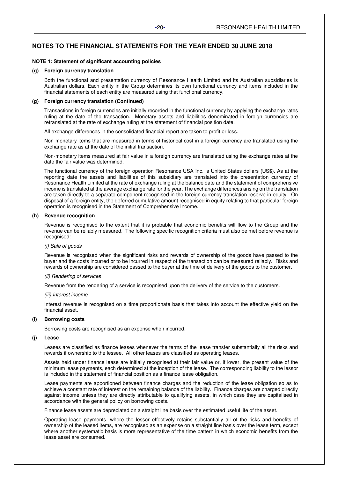#### **NOTE 1: Statement of significant accounting policies**

#### **(g) Foreign currency translation**

Both the functional and presentation currency of Resonance Health Limited and its Australian subsidiaries is Australian dollars. Each entity in the Group determines its own functional currency and items included in the financial statements of each entity are measured using that functional currency.

#### **(g) Foreign currency translation (Continued)**

Transactions in foreign currencies are initially recorded in the functional currency by applying the exchange rates ruling at the date of the transaction. Monetary assets and liabilities denominated in foreign currencies are retranslated at the rate of exchange ruling at the statement of financial position date.

All exchange differences in the consolidated financial report are taken to profit or loss.

Non-monetary items that are measured in terms of historical cost in a foreign currency are translated using the exchange rate as at the date of the initial transaction.

Non-monetary items measured at fair value in a foreign currency are translated using the exchange rates at the date the fair value was determined.

The functional currency of the foreign operation Resonance USA Inc. is United States dollars (US\$). As at the reporting date the assets and liabilities of this subsidiary are translated into the presentation currency of Resonance Health Limited at the rate of exchange ruling at the balance date and the statement of comprehensive income is translated at the average exchange rate for the year. The exchange differences arising on the translation are taken directly to a separate component recognised in the foreign currency translation reserve in equity. On disposal of a foreign entity, the deferred cumulative amount recognised in equity relating to that particular foreign operation is recognised in the Statement of Comprehensive Income.

#### **(h) Revenue recognition**

Revenue is recognised to the extent that it is probable that economic benefits will flow to the Group and the revenue can be reliably measured. The following specific recognition criteria must also be met before revenue is recognised:

#### (i) Sale of goods

Revenue is recognised when the significant risks and rewards of ownership of the goods have passed to the buyer and the costs incurred or to be incurred in respect of the transaction can be measured reliably. Risks and rewards of ownership are considered passed to the buyer at the time of delivery of the goods to the customer.

#### (ii) Rendering of services

Revenue from the rendering of a service is recognised upon the delivery of the service to the customers.

#### (iii) Interest income

Interest revenue is recognised on a time proportionate basis that takes into account the effective yield on the financial asset.

#### **(i) Borrowing costs**

Borrowing costs are recognised as an expense when incurred.

#### **(j) Lease**

 Leases are classified as finance leases whenever the terms of the lease transfer substantially all the risks and rewards if ownership to the lessee. All other leases are classified as operating leases.

Assets held under finance lease are initially recognised at their fair value or, if lower, the present value of the minimum lease payments, each determined at the inception of the lease. The corresponding liability to the lessor is included in the statement of financial position as a finance lease obligation.

Lease payments are apportioned between finance charges and the reduction of the lease obligation so as to achieve a constant rate of interest on the remaining balance of the liability. Finance charges are charged directly against income unless they are directly attributable to qualifying assets, in which case they are capitalised in accordance with the general policy on borrowing costs.

Finance lease assets are depreciated on a straight line basis over the estimated useful life of the asset.

Operating lease payments, where the lessor effectively retains substantially all of the risks and benefits of ownership of the leased items, are recognised as an expense on a straight line basis over the lease term, except where another systematic basis is more representative of the time pattern in which economic benefits from the lease asset are consumed.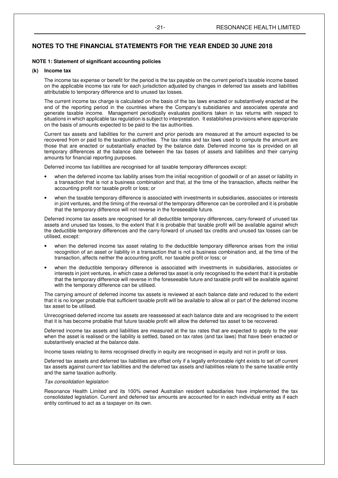#### **NOTE 1: Statement of significant accounting policies**

#### **(k) Income tax**

The income tax expense or benefit for the period is the tax payable on the current period's taxable income based on the applicable income tax rate for each jurisdiction adjusted by changes in deferred tax assets and liabilities attributable to temporary difference and to unused tax losses.

The current income tax charge is calculated on the basis of the tax laws enacted or substantively enacted at the end of the reporting period in the countries where the Company's subsidiaries and associates operate and generate taxable income. Management periodically evaluates positions taken in tax returns with respect to situations in which applicable tax regulation is subject to interpretation. It establishes provisions where appropriate on the basis of amounts expected to be paid to the tax authorities.

Current tax assets and liabilities for the current and prior periods are measured at the amount expected to be recovered from or paid to the taxation authorities. The tax rates and tax laws used to compute the amount are those that are enacted or substantially enacted by the balance date. Deferred income tax is provided on all temporary differences at the balance date between the tax bases of assets and liabilities and their carrying amounts for financial reporting purposes.

Deferred income tax liabilities are recognised for all taxable temporary differences except:

- when the deferred income tax liability arises from the initial recognition of goodwill or of an asset or liability in a transaction that is not a business combination and that, at the time of the transaction, affects neither the accounting profit nor taxable profit or loss; or
- when the taxable temporary difference is associated with investments in subsidiaries, associates or interests in joint ventures, and the timing of the reversal of the temporary difference can be controlled and it is probable that the temporary difference will not reverse in the foreseeable future.

Deferred income tax assets are recognised for all deductible temporary differences, carry-forward of unused tax assets and unused tax losses, to the extent that it is probable that taxable profit will be available against which the deductible temporary differences and the carry-forward of unused tax credits and unused tax losses can be utilised, except:

- when the deferred income tax asset relating to the deductible temporary difference arises from the initial recognition of an asset or liability in a transaction that is not a business combination and, at the time of the transaction, affects neither the accounting profit, nor taxable profit or loss; or
- when the deductible temporary difference is associated with investments in subsidiaries, associates or interests in joint ventures, in which case a deferred tax asset is only recognised to the extent that it is probable that the temporary difference will reverse in the foreseeable future and taxable profit will be available against with the temporary difference can be utilised.

The carrying amount of deferred income tax assets is reviewed at each balance date and reduced to the extent that it is no longer probable that sufficient taxable profit will be available to allow all or part of the deferred income tax asset to be utilised.

Unrecognised deferred income tax assets are reassessed at each balance date and are recognised to the extent that it is has become probable that future taxable profit will allow the deferred tax asset to be recovered.

Deferred income tax assets and liabilities are measured at the tax rates that are expected to apply to the year when the asset is realised or the liability is settled, based on tax rates (and tax laws) that have been enacted or substantively enacted at the balance date.

Income taxes relating to items recognised directly in equity are recognised in equity and not in profit or loss.

Deferred tax assets and deferred tax liabilities are offset only if a legally enforceable right exists to set off current tax assets against current tax liabilities and the deferred tax assets and liabilities relate to the same taxable entity and the same taxation authority.

#### Tax consolidation legislation

Resonance Health Limited and its 100% owned Australian resident subsidiaries have implemented the tax consolidated legislation. Current and deferred tax amounts are accounted for in each individual entity as if each entity continued to act as a taxpayer on its own.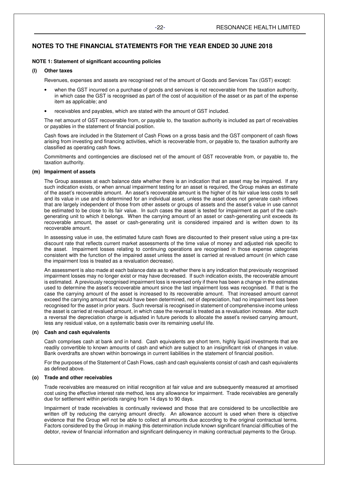#### **NOTE 1: Statement of significant accounting policies**

#### **(l) Other taxes**

Revenues, expenses and assets are recognised net of the amount of Goods and Services Tax (GST) except:

- when the GST incurred on a purchase of goods and services is not recoverable from the taxation authority, in which case the GST is recognised as part of the cost of acquisition of the asset or as part of the expense item as applicable; and
- receivables and payables, which are stated with the amount of GST included.

The net amount of GST recoverable from, or payable to, the taxation authority is included as part of receivables or payables in the statement of financial position.

Cash flows are included in the Statement of Cash Flows on a gross basis and the GST component of cash flows arising from investing and financing activities, which is recoverable from, or payable to, the taxation authority are classified as operating cash flows.

Commitments and contingencies are disclosed net of the amount of GST recoverable from, or payable to, the taxation authority.

#### **(m) Impairment of assets**

The Group assesses at each balance date whether there is an indication that an asset may be impaired. If any such indication exists, or when annual impairment testing for an asset is required, the Group makes an estimate of the asset's recoverable amount. An asset's recoverable amount is the higher of its fair value less costs to sell and its value in use and is determined for an individual asset, unless the asset does not generate cash inflows that are largely independent of those from other assets or groups of assets and the asset's value in use cannot be estimated to be close to its fair value. In such cases the asset is tested for impairment as part of the cashgenerating unit to which it belongs. When the carrying amount of an asset or cash-generating unit exceeds its recoverable amount, the asset or cash-generating unit is considered impaired and is written down to its recoverable amount.

In assessing value in use, the estimated future cash flows are discounted to their present value using a pre-tax discount rate that reflects current market assessments of the time value of money and adjusted risk specific to the asset. Impairment losses relating to continuing operations are recognised in those expense categories consistent with the function of the impaired asset unless the asset is carried at revalued amount (in which case the impairment loss is treated as a revaluation decrease).

An assessment is also made at each balance date as to whether there is any indication that previously recognised impairment losses may no longer exist or may have decreased. If such indication exists, the recoverable amount is estimated. A previously recognised impairment loss is reversed only if there has been a change in the estimates used to determine the asset's recoverable amount since the last impairment loss was recognised. If that is the case the carrying amount of the asset is increased to its recoverable amount. That increased amount cannot exceed the carrying amount that would have been determined, net of depreciation, had no impairment loss been recognised for the asset in prior years. Such reversal is recognised in statement of comprehensive income unless the asset is carried at revalued amount, in which case the reversal is treated as a revaluation increase. After such a reversal the depreciation charge is adjusted in future periods to allocate the asset's revised carrying amount, less any residual value, on a systematic basis over its remaining useful life.

#### **(n) Cash and cash equivalents**

 Cash comprises cash at bank and in hand. Cash equivalents are short term, highly liquid investments that are readily convertible to known amounts of cash and which are subject to an insignificant risk of changes in value. Bank overdrafts are shown within borrowings in current liabilities in the statement of financial position.

 For the purposes of the Statement of Cash Flows, cash and cash equivalents consist of cash and cash equivalents as defined above.

#### **(o) Trade and other receivables**

 Trade receivables are measured on initial recognition at fair value and are subsequently measured at amortised cost using the effective interest rate method, less any allowance for impairment. Trade receivables are generally due for settlement within periods ranging from 14 days to 90 days.

Impairment of trade receivables is continually reviewed and those that are considered to be uncollectible are written off by reducing the carrying amount directly. An allowance account is used when there is objective evidence that the Group will not be able to collect all amounts due according to the original contractual terms. Factors considered by the Group in making this determination include known significant financial difficulties of the debtor, review of financial information and significant delinquency in making contractual payments to the Group.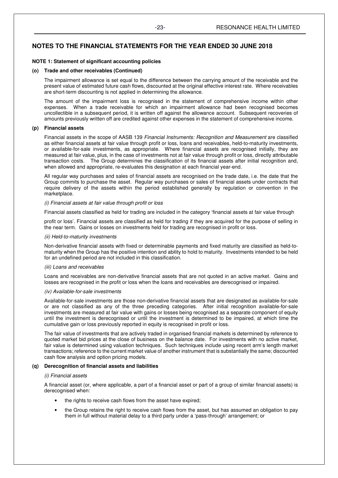#### **NOTE 1: Statement of significant accounting policies**

#### **(o) Trade and other receivables (Continued)**

The impairment allowance is set equal to the difference between the carrying amount of the receivable and the present value of estimated future cash flows, discounted at the original effective interest rate. Where receivables are short-term discounting is not applied in determining the allowance.

The amount of the impairment loss is recognised in the statement of comprehensive income within other expenses. When a trade receivable for which an impairment allowance had been recognised becomes uncollectible in a subsequent period, it is written off against the allowance account. Subsequent recoveries of amounts previously written off are credited against other expenses in the statement of comprehensive income.

#### **(p) Financial assets**

Financial assets in the scope of AASB 139 Financial Instruments: Recognition and Measurement are classified as either financial assets at fair value through profit or loss, loans and receivables, held-to-maturity investments, or available-for-sale investments, as appropriate. Where financial assets are recognised initially, they are measured at fair value, plus, in the case of investments not at fair value through profit or loss, directly attributable transaction costs. The Group determines the classification of its financial assets after initial recognition and, when allowed and appropriate, re-evaluates this designation at each financial year-end.

All regular way purchases and sales of financial assets are recognised on the trade date, i.e. the date that the Group commits to purchase the asset. Regular way purchases or sales of financial assets under contracts that require delivery of the assets within the period established generally by regulation or convention in the marketplace.

#### (i) Financial assets at fair value through profit or loss

Financial assets classified as held for trading are included in the category 'financial assets at fair value through

profit or loss'. Financial assets are classified as held for trading if they are acquired for the purpose of selling in the near term. Gains or losses on investments held for trading are recognised in profit or loss.

#### (ii) Held-to-maturity investments

Non-derivative financial assets with fixed or determinable payments and fixed maturity are classified as held-tomaturity when the Group has the positive intention and ability to hold to maturity. Investments intended to be held for an undefined period are not included in this classification.

#### (iii) Loans and receivables

Loans and receivables are non-derivative financial assets that are not quoted in an active market. Gains and losses are recognised in the profit or loss when the loans and receivables are derecognised or impaired.

#### (iv) Available-for-sale investments

Available-for-sale investments are those non-derivative financial assets that are designated as available-for-sale or are not classified as any of the three preceding categories. After initial recognition available-for-sale investments are measured at fair value with gains or losses being recognised as a separate component of equity until the investment is derecognised or until the investment is determined to be impaired, at which time the cumulative gain or loss previously reported in equity is recognised in profit or loss.

The fair value of investments that are actively traded in organised financial markets is determined by reference to quoted market bid prices at the close of business on the balance date. For investments with no active market, fair value is determined using valuation techniques. Such techniques include using recent arm's length market transactions; reference to the current market value of another instrument that is substantially the same; discounted cash flow analysis and option pricing models.

#### **(q) Derecognition of financial assets and liabilities**

#### (i) Financial assets

 A financial asset (or, where applicable, a part of a financial asset or part of a group of similar financial assets) is derecognised when:

- the rights to receive cash flows from the asset have expired;
- the Group retains the right to receive cash flows from the asset, but has assumed an obligation to pay them in full without material delay to a third party under a 'pass-through' arrangement; or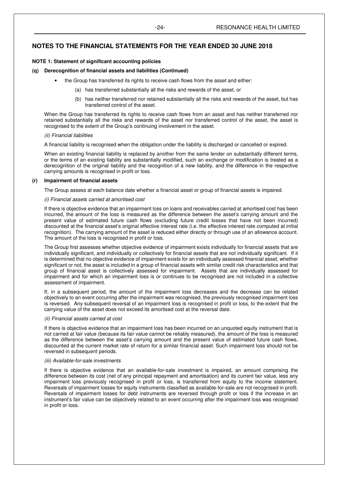#### **NOTE 1: Statement of significant accounting policies**

#### **(q) Derecognition of financial assets and liabilities (Continued)**

- the Group has transferred its rights to receive cash flows from the asset and either:
	- (a) has transferred substantially all the risks and rewards of the asset, or
	- (b) has neither transferred nor retained substantially all the risks and rewards of the asset, but has transferred control of the asset.

 When the Group has transferred its rights to receive cash flows from an asset and has neither transferred nor retained substantially all the risks and rewards of the asset nor transferred control of the asset, the asset is recognised to the extent of the Group's continuing involvement in the asset.

#### (ii) Financial liabilities

A financial liability is recognised when the obligation under the liability is discharged or cancelled or expired.

When an existing financial liability is replaced by another from the same lender on substantially different terms, or the terms of an existing liability are substantially modified, such an exchange or modification is treated as a derecognition of the original liability and the recognition of a new liability, and the difference in the respective carrying amounts is recognised in profit or loss.

#### **(r) Impairment of financial assets**

The Group assess at each balance date whether a financial asset or group of financial assets is impaired.

#### (i) Financial assets carried at amortised cost

 If there is objective evidence that an impairment loss on loans and receivables carried at amortised cost has been incurred, the amount of the loss is measured as the difference between the asset's carrying amount and the present value of estimated future cash flows (excluding future credit losses that have not been incurred) discounted at the financial asset's original effective interest rate (i.e. the effective interest rate computed at initial recognition). The carrying amount of the asset is reduced either directly or through use of an allowance account. The amount of the loss is recognised in profit or loss.

The Group first assesses whether objective evidence of impairment exists individually for financial assets that are individually significant, and individually or collectively for financial assets that are not individually significant. If it is determined that no objective evidence of impairment exists for an individually assessed financial asset, whether significant or not, the asset is included in a group of financial assets with similar credit risk characteristics and that group of financial asset is collectively assessed for impairment. Assets that are individually assessed for impairment and for which an impairment loss is or continues to be recognised are not included in a collective assessment of impairment.

If, in a subsequent period, the amount of the impairment loss decreases and the decrease can be related objectively to an event occurring after the impairment was recognised, the previously recognised impairment loss is reversed. Any subsequent reversal of an impairment loss is recognised in profit or loss, to the extent that the carrying value of the asset does not exceed its amortised cost at the reversal date.

#### (ii) Financial assets carried at cost

If there is objective evidence that an impairment loss has been incurred on an unquoted equity instrument that is not carried at fair value (because its fair value cannot be reliably measured), the amount of the loss is measured as the difference between the asset's carrying amount and the present value of estimated future cash flows, discounted at the current market rate of return for a similar financial asset. Such impairment loss should not be reversed in subsequent periods.

#### (iii) Available-for-sale investments

If there is objective evidence that an available-for-sale investment is impaired, an amount comprising the difference between its cost (net of any principal repayment and amortisation) and its current fair value, less any impairment loss previously recognised in profit or loss, is transferred from equity to the income statement. Reversals of impairment losses for equity instruments classified as available-for-sale are not recognised in profit. Reversals of impairment losses for debt instruments are reversed through profit or loss if the increase in an instrument's fair value can be objectively related to an event occurring after the impairment loss was recognised in profit or loss.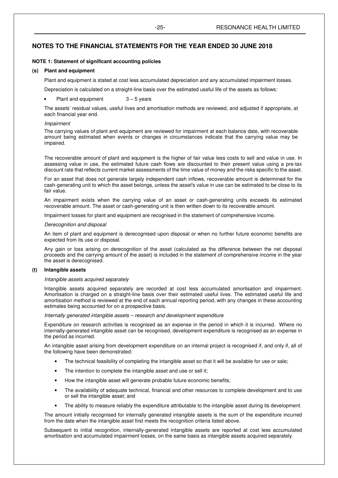#### **NOTE 1: Statement of significant accounting policies**

#### **(s) Plant and equipment**

Plant and equipment is stated at cost less accumulated depreciation and any accumulated impairment losses.

Depreciation is calculated on a straight-line basis over the estimated useful life of the assets as follows:

Plant and equipment  $3 - 5$  years

The assets' residual values, useful lives and amortisation methods are reviewed, and adjusted if appropriate, at each financial year end.

#### Impairment

The carrying values of plant and equipment are reviewed for impairment at each balance date, with recoverable amount being estimated when events or changes in circumstances indicate that the carrying value may be impaired.

 The recoverable amount of plant and equipment is the higher of fair value less costs to sell and value in use. In assessing value in use, the estimated future cash flows are discounted to their present value using a pre-tax discount rate that reflects current market assessments of the time value of money and the risks specific to the asset.

For an asset that does not generate largely independent cash inflows, recoverable amount is determined for the cash-generating unit to which the asset belongs, unless the asset's value in use can be estimated to be close to its fair value.

An impairment exists when the carrying value of an asset or cash-generating units exceeds its estimated recoverable amount. The asset or cash-generating unit is then written down to its recoverable amount.

Impairment losses for plant and equipment are recognised in the statement of comprehensive income.

#### Derecognition and disposal

An item of plant and equipment is derecognised upon disposal or when no further future economic benefits are expected from its use or disposal.

Any gain or loss arising on derecognition of the asset (calculated as the difference between the net disposal proceeds and the carrying amount of the asset) is included in the statement of comprehensive income in the year the asset is derecognised.

#### **(t) Intangible assets**

#### Intangible assets acquired separately

Intangible assets acquired separately are recorded at cost less accumulated amortisation and impairment. Amortisation is charged on a straight-line basis over their estimated useful lives. The estimated useful life and amortisation method is reviewed at the end of each annual reporting period, with any changes in these accounting estimates being accounted for on a prospective basis.

#### Internally generated intangible assets – research and development expenditure

Expenditure on research activities is recognised as an expense in the period in which it is incurred. Where no internally-generated intangible asset can be recognised, development expenditure is recognised as an expense in the period as incurred.

An intangible asset arising from development expenditure on an internal project is recognised if, and only if, all of the following have been demonstrated:

- The technical feasibility of completing the intangible asset so that it will be available for use or sale;
- The intention to complete the intangible asset and use or sell it;
- How the intangible asset will generate probable future economic benefits;
- The availability of adequate technical, financial and other resources to complete development and to use or sell the intangible asset; and
- The ability to measure reliably the expenditure attributable to the intangible asset during its development.

The amount initially recognised for internally generated intangible assets is the sum of the expenditure incurred from the date when the intangible asset first meets the recognition criteria listed above.

Subsequent to initial recognition, internally-generated intangible assets are reported at cost less accumulated amortisation and accumulated impairment losses, on the same basis as intangible assets acquired separately.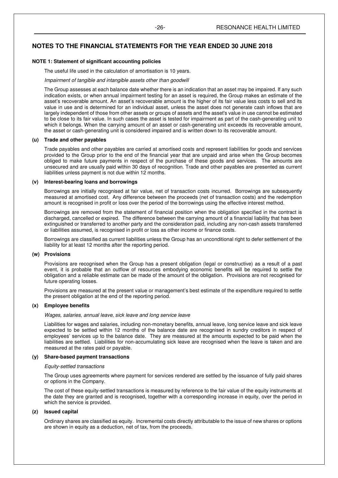#### **NOTE 1: Statement of significant accounting policies**

The useful life used in the calculation of amortisation is 10 years.

#### Impairment of tangible and intangible assets other than goodwill

The Group assesses at each balance date whether there is an indication that an asset may be impaired. If any such indication exists, or when annual impairment testing for an asset is required, the Group makes an estimate of the asset's recoverable amount. An asset's recoverable amount is the higher of its fair value less costs to sell and its value in use and is determined for an individual asset, unless the asset does not generate cash inflows that are largely independent of those from other assets or groups of assets and the asset's value in use cannot be estimated to be close to its fair value. In such cases the asset is tested for impairment as part of the cash-generating unit to which it belongs. When the carrying amount of an asset or cash-generating unit exceeds its recoverable amount, the asset or cash-generating unit is considered impaired and is written down to its recoverable amount.

#### **(u) Trade and other payables**

Trade payables and other payables are carried at amortised costs and represent liabilities for goods and services provided to the Group prior to the end of the financial year that are unpaid and arise when the Group becomes obliged to make future payments in respect of the purchase of these goods and services. The amounts are unsecured and are usually paid within 30 days of recognition. Trade and other payables are presented as current liabilities unless payment is not due within 12 months.

#### **(v) Interest-bearing loans and borrowings**

Borrowings are initially recognised at fair value, net of transaction costs incurred. Borrowings are subsequently measured at amortised cost. Any difference between the proceeds (net of transaction costs) and the redemption amount is recognised in profit or loss over the period of the borrowings using the effective interest method.

Borrowings are removed from the statement of financial position when the obligation specified in the contract is discharged, cancelled or expired. The difference between the carrying amount of a financial liability that has been extinguished or transferred to another party and the consideration paid, including any non-cash assets transferred or liabilities assumed, is recognised in profit or loss as other income or finance costs.

 Borrowings are classified as current liabilities unless the Group has an unconditional right to defer settlement of the liability for at least 12 months after the reporting period.

#### **(w) Provisions**

Provisions are recognised when the Group has a present obligation (legal or constructive) as a result of a past event, it is probable that an outflow of resources embodying economic benefits will be required to settle the obligation and a reliable estimate can be made of the amount of the obligation. Provisions are not recognised for future operating losses.

Provisions are measured at the present value or management's best estimate of the expenditure required to settle the present obligation at the end of the reporting period.

#### **(x) Employee benefits**

#### Wages, salaries, annual leave, sick leave and long service leave

Liabilities for wages and salaries, including non-monetary benefits, annual leave, long service leave and sick leave expected to be settled within 12 months of the balance date are recognised in sundry creditors in respect of employees' services up to the balance date. They are measured at the amounts expected to be paid when the liabilities are settled. Liabilities for non-accumulating sick leave are recognised when the leave is taken and are measured at the rates paid or payable.

#### **(y) Share-based payment transactions**

#### Equity-settled transactions

The Group uses agreements where payment for services rendered are settled by the issuance of fully paid shares or options in the Company.

The cost of these equity-settled transactions is measured by reference to the fair value of the equity instruments at the date they are granted and is recognised, together with a corresponding increase in equity, over the period in which the service is provided.

#### **(z) Issued capital**

Ordinary shares are classified as equity. Incremental costs directly attributable to the issue of new shares or options are shown in equity as a deduction, net of tax, from the proceeds.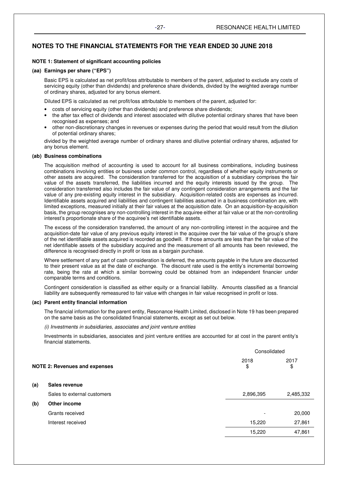#### **NOTE 1: Statement of significant accounting policies**

#### **(aa) Earnings per share ("EPS")**

 Basic EPS is calculated as net profit/loss attributable to members of the parent, adjusted to exclude any costs of servicing equity (other than dividends) and preference share dividends, divided by the weighted average number of ordinary shares, adjusted for any bonus element.

Diluted EPS is calculated as net profit/loss attributable to members of the parent, adjusted for:

- costs of servicing equity (other than dividends) and preference share dividends;
- the after tax effect of dividends and interest associated with dilutive potential ordinary shares that have been recognised as expenses; and
- other non-discretionary changes in revenues or expenses during the period that would result from the dilution of potential ordinary shares;

divided by the weighted average number of ordinary shares and dilutive potential ordinary shares, adjusted for any bonus element.

#### **(ab) Business combinations**

 The acquisition method of accounting is used to account for all business combinations, including business combinations involving entities or business under common control, regardless of whether equity instruments or other assets are acquired. The consideration transferred for the acquisition of a subsidiary comprises the fair value of the assets transferred, the liabilities incurred and the equity interests issued by the group. The consideration transferred also includes the fair value of any contingent consideration arrangements and the fair value of any pre-existing equity interest in the subsidiary. Acquisition-related costs are expenses as incurred. Identifiable assets acquired and liabilities and contingent liabilities assumed in a business combination are, with limited exceptions, measured initially at their fair values at the acquisition date. On an acquisition-by-acquisition basis, the group recognises any non-controlling interest in the acquiree either at fair value or at the non-controlling interest's proportionate share of the acquiree's net identifiable assets.

The excess of the consideration transferred, the amount of any non-controlling interest in the acquiree and the acquisition-date fair value of any previous equity interest in the acquiree over the fair value of the group's share of the net identifiable assets acquired is recorded as goodwill. If those amounts are less than the fair value of the net identifiable assets of the subsidiary acquired and the measurement of all amounts has been reviewed, the difference is recognised directly in profit or loss as a bargain purchase.

 Where settlement of any part of cash consideration is deferred, the amounts payable in the future are discounted to their present value as at the date of exchange. The discount rate used is the entity's incremental borrowing rate, being the rate at which a similar borrowing could be obtained from an independent financier under comparable terms and conditions.

 Contingent consideration is classified as either equity or a financial liability. Amounts classified as a financial liability are subsequently remeasured to fair value with changes in fair value recognised in profit or loss.

#### **(ac) Parent entity financial information**

The financial information for the parent entity, Resonance Health Limited, disclosed in Note 19 has been prepared on the same basis as the consolidated financial statements, except as set out below.

#### (i) Investments in subsidiaries, associates and joint venture entities

Investments in subsidiaries, associates and joint venture entities are accounted for at cost in the parent entity's financial statements.

|     |                                      | Consolidated |            |  |
|-----|--------------------------------------|--------------|------------|--|
|     | <b>NOTE 2: Revenues and expenses</b> | 2018<br>\$   | 2017<br>\$ |  |
| (a) | Sales revenue                        |              |            |  |
|     | Sales to external customers          | 2,896,395    | 2,485,332  |  |
| (b) | Other income                         |              |            |  |
|     | Grants received                      |              | 20,000     |  |
|     | Interest received                    | 15,220       | 27,861     |  |
|     |                                      | 15,220       | 47,861     |  |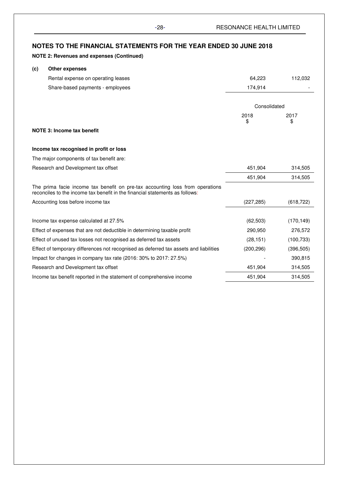# **NOTES TO THE FINANCIAL STATEMENTS FOR THE YEAR ENDED 30 JUNE 2018 NOTE 2: Revenues and expenses (Continued)**

| (c) | <b>Other expenses</b>                                                                                                                                         |              |            |
|-----|---------------------------------------------------------------------------------------------------------------------------------------------------------------|--------------|------------|
|     | Rental expense on operating leases                                                                                                                            | 64,223       | 112,032    |
|     | Share-based payments - employees                                                                                                                              | 174,914      |            |
|     |                                                                                                                                                               | Consolidated |            |
|     |                                                                                                                                                               | 2018<br>\$   | 2017<br>\$ |
|     | NOTE 3: Income tax benefit                                                                                                                                    |              |            |
|     | Income tax recognised in profit or loss                                                                                                                       |              |            |
|     | The major components of tax benefit are:                                                                                                                      |              |            |
|     | Research and Development tax offset                                                                                                                           | 451,904      | 314,505    |
|     |                                                                                                                                                               | 451.904      | 314,505    |
|     | The prima facie income tax benefit on pre-tax accounting loss from operations<br>reconciles to the income tax benefit in the financial statements as follows: |              |            |
|     | Accounting loss before income tax                                                                                                                             | (227, 285)   | (618, 722) |
|     | Income tax expense calculated at 27.5%                                                                                                                        | (62, 503)    | (170, 149) |
|     | Effect of expenses that are not deductible in determining taxable profit                                                                                      | 290,950      | 276,572    |
|     | Effect of unused tax losses not recognised as deferred tax assets                                                                                             | (28, 151)    | (100, 733) |
|     | Effect of temporary differences not recognised as deferred tax assets and liabilities                                                                         | (200, 296)   | (396, 505) |
|     | Impact for changes in company tax rate (2016: 30% to 2017: 27.5%)                                                                                             |              | 390,815    |
|     | Research and Development tax offset                                                                                                                           | 451,904      | 314,505    |
|     | Income tax benefit reported in the statement of comprehensive income                                                                                          | 451,904      | 314,505    |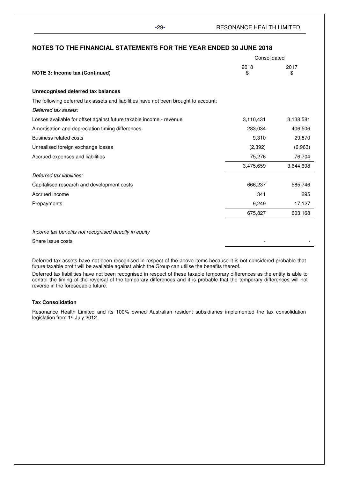|                                                                                     | Consolidated |            |
|-------------------------------------------------------------------------------------|--------------|------------|
| <b>NOTE 3: Income tax (Continued)</b>                                               | 2018<br>\$   | 2017<br>\$ |
| Unrecognised deferred tax balances                                                  |              |            |
| The following deferred tax assets and liabilities have not been brought to account: |              |            |
| Deferred tax assets:                                                                |              |            |
| Losses available for offset against future taxable income - revenue                 | 3,110,431    | 3,138,581  |
| Amortisation and depreciation timing differences                                    | 283,034      | 406,506    |
| <b>Business related costs</b>                                                       | 9,310        | 29,870     |
| Unrealised foreign exchange losses                                                  | (2,392)      | (6,963)    |
| Accrued expenses and liabilities                                                    | 75,276       | 76,704     |
|                                                                                     | 3,475,659    | 3,644,698  |
| Deferred tax liabilities:                                                           |              |            |
| Capitalised research and development costs                                          | 666,237      | 585,746    |
| Accrued income                                                                      | 341          | 295        |
| Prepayments                                                                         | 9,249        | 17,127     |
|                                                                                     | 675,827      | 603,168    |
| Income tax benefits not recognised directly in equity                               |              |            |
| Share issue costs                                                                   |              |            |

Deferred tax assets have not been recognised in respect of the above items because it is not considered probable that future taxable profit will be available against which the Group can utilise the benefits thereof.

Deferred tax liabilities have not been recognised in respect of these taxable temporary differences as the entity is able to control the timing of the reversal of the temporary differences and it is probable that the temporary differences will not reverse in the foreseeable future.

# **Tax Consolidation**

Resonance Health Limited and its 100% owned Australian resident subsidiaries implemented the tax consolidation legislation from 1<sup>st</sup> July 2012.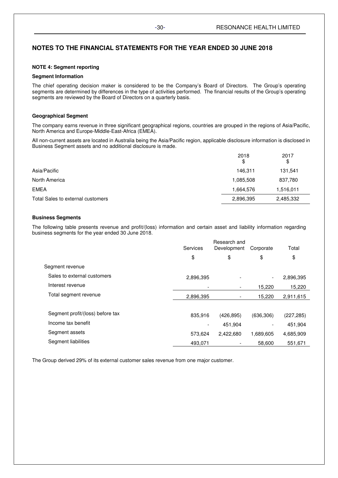#### **NOTE 4: Segment reporting**

#### **Segment Information**

The chief operating decision maker is considered to be the Company's Board of Directors. The Group's operating segments are determined by differences in the type of activities performed. The financial results of the Group's operating segments are reviewed by the Board of Directors on a quarterly basis.

#### **Geographical Segment**

The company earns revenue in three significant geographical regions, countries are grouped in the regions of Asia/Pacific, North America and Europe-Middle-East-Africa (EMEA).

All non-current assets are located in Australia being the Asia/Pacific region, applicable disclosure information is disclosed in Business Segment assets and no additional disclosure is made.

|                                   | 2018<br>\$ | 2017<br>\$ |
|-----------------------------------|------------|------------|
| Asia/Pacific                      | 146,311    | 131,541    |
| North America                     | 1,085,508  | 837,780    |
| <b>EMEA</b>                       | 1,664,576  | 1,516,011  |
| Total Sales to external customers | 2,896,395  | 2,485,332  |

#### **Business Segments**

The following table presents revenue and profit/(loss) information and certain asset and liability information regarding business segments for the year ended 30 June 2018.

|                                  | Services  | Research and<br>Development | Corporate                | Total      |  |
|----------------------------------|-----------|-----------------------------|--------------------------|------------|--|
|                                  | \$        | \$                          | \$                       | \$         |  |
| Segment revenue                  |           |                             |                          |            |  |
| Sales to external customers      | 2,896,395 |                             | $\overline{\phantom{a}}$ | 2,896,395  |  |
| Interest revenue                 |           | -                           | 15,220                   | 15,220     |  |
| Total segment revenue            | 2,896,395 | $\overline{\phantom{a}}$    | 15,220                   | 2,911,615  |  |
| Segment profit/(loss) before tax | 835,916   | (426, 895)                  | (636, 306)               | (227, 285) |  |
| Income tax benefit               |           | 451,904                     | ٠                        | 451,904    |  |
| Segment assets                   | 573,624   | 2,422,680                   | 1,689,605                | 4,685,909  |  |
| Segment liabilities              | 493,071   |                             | 58,600                   | 551,671    |  |

The Group derived 29% of its external customer sales revenue from one major customer.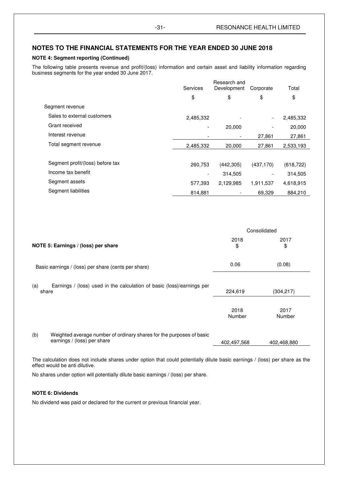# **NOTE 4: Segment reporting (Continued)**

The following table presents revenue and profit/(loss) information and certain asset and liability information regarding business segments for the year ended 30 June 2017.

|                                  | Services  | Research and<br>Development | Corporate                | Total      |
|----------------------------------|-----------|-----------------------------|--------------------------|------------|
|                                  | \$        | \$                          | \$                       | \$         |
| Segment revenue                  |           |                             |                          |            |
| Sales to external customers      | 2,485,332 |                             | $\overline{\phantom{a}}$ | 2,485,332  |
| Grant received                   |           | 20,000                      |                          | 20,000     |
| Interest revenue                 |           | -                           | 27,861                   | 27,861     |
| Total segment revenue            | 2,485,332 | 20,000                      | 27,861                   | 2,533,193  |
| Segment profit/(loss) before tax | 260,753   | (442, 305)                  | (437, 170)               | (618, 722) |
| Income tax benefit               |           | 314,505                     |                          | 314,505    |
| Segment assets                   | 577,393   | 2,129,985                   | 1,911,537                | 4,618,915  |
| Segment liabilities              | 814,881   |                             | 69.329                   | 884.210    |

|                                                                                                            | Consolidated   |                       |  |
|------------------------------------------------------------------------------------------------------------|----------------|-----------------------|--|
| NOTE 5: Earnings / (loss) per share                                                                        | 2018<br>\$     | 2017<br>\$            |  |
| Basic earnings / (loss) per share (cents per share)                                                        | 0.06           | (0.08)                |  |
| Earnings / (loss) used in the calculation of basic (loss)/earnings per<br>(a)<br>share                     | 224,619        | (304, 217)            |  |
|                                                                                                            | 2018<br>Number | 2017<br><b>Number</b> |  |
| (b)<br>Weighted average number of ordinary shares for the purposes of basic<br>earnings / (loss) per share | 402,497,568    | 402,468,880           |  |

The calculation does not include shares under option that could potentially dilute basic earnings / (loss) per share as the effect would be anti dilutive.

No shares under option will potentially dilute basic earnings / (loss) per share.

# **NOTE 6: Dividends**

No dividend was paid or declared for the current or previous financial year.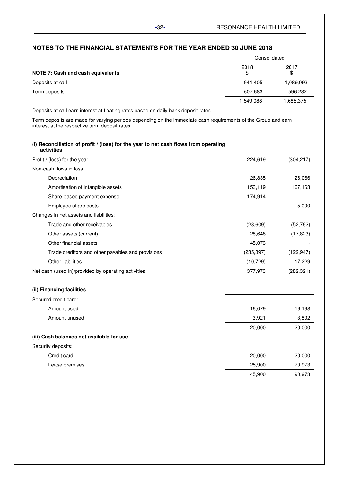|                                   | Consolidated |            |  |
|-----------------------------------|--------------|------------|--|
| NOTE 7: Cash and cash equivalents | 2018<br>\$   | 2017<br>\$ |  |
| Deposits at call                  | 941,405      | 1,089,093  |  |
| Term deposits                     | 607,683      | 596,282    |  |
|                                   | 1,549,088    | 1,685,375  |  |

Deposits at call earn interest at floating rates based on daily bank deposit rates.

**(i) Reconciliation of profit / (loss) for the year to net cash flows from operating** 

Term deposits are made for varying periods depending on the immediate cash requirements of the Group and earn interest at the respective term deposit rates.

| (i) Reconciliation of profit / (loss) for the year to net cash hows from operating<br>activities |            |            |
|--------------------------------------------------------------------------------------------------|------------|------------|
| Profit / (loss) for the year                                                                     | 224,619    | (304, 217) |
| Non-cash flows in loss:                                                                          |            |            |
| Depreciation                                                                                     | 26,835     | 26,066     |
| Amortisation of intangible assets                                                                | 153,119    | 167,163    |
| Share-based payment expense                                                                      | 174,914    |            |
| Employee share costs                                                                             |            | 5,000      |
| Changes in net assets and liabilities:                                                           |            |            |
| Trade and other receivables                                                                      | (28, 609)  | (52, 792)  |
| Other assets (current)                                                                           | 28,648     | (17, 823)  |
| Other financial assets                                                                           | 45,073     |            |
| Trade creditors and other payables and provisions                                                | (235, 897) | (122, 947) |
| Other liabilities                                                                                | (10, 729)  | 17,229     |
| Net cash (used in)/provided by operating activities                                              | 377,973    | (282, 321) |
|                                                                                                  |            |            |
| (ii) Financing facilities                                                                        |            |            |
| Secured credit card:                                                                             |            |            |
| Amount used                                                                                      | 16,079     | 16,198     |
| Amount unused                                                                                    | 3,921      | 3,802      |
|                                                                                                  | 20,000     | 20,000     |
| (iii) Cash balances not available for use                                                        |            |            |
| Security deposits:                                                                               |            |            |
| Credit card                                                                                      | 20,000     | 20,000     |
| Lease premises                                                                                   | 25,900     | 70,973     |
|                                                                                                  | 45,900     | 90,973     |
|                                                                                                  |            |            |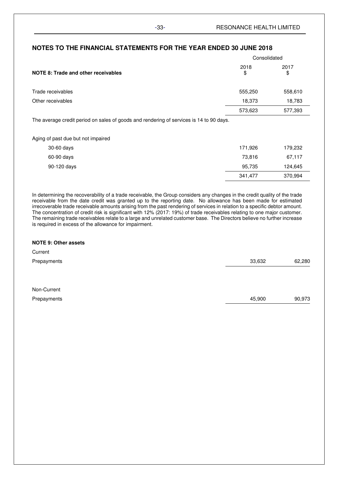|                                                                                         | Consolidated |            |  |
|-----------------------------------------------------------------------------------------|--------------|------------|--|
| NOTE 8: Trade and other receivables                                                     | 2018<br>\$   | 2017<br>\$ |  |
| Trade receivables                                                                       | 555,250      | 558,610    |  |
| Other receivables                                                                       | 18,373       | 18,783     |  |
|                                                                                         | 573,623      | 577,393    |  |
| The average credit period on sales of goods and rendering of services is 14 to 90 days. |              |            |  |
| Aging of past due but not impaired                                                      |              |            |  |
| 30-60 days                                                                              | 171,926      | 179,232    |  |

| 60-90 days  | 73.816  | 67,117  |
|-------------|---------|---------|
| 90-120 days | 95,735  | 124,645 |
|             | 341,477 | 370,994 |

In determining the recoverability of a trade receivable, the Group considers any changes in the credit quality of the trade receivable from the date credit was granted up to the reporting date. No allowance has been made for estimated irrecoverable trade receivable amounts arising from the past rendering of services in relation to a specific debtor amount. The concentration of credit risk is significant with 12% (2017: 19%) of trade receivables relating to one major customer. The remaining trade receivables relate to a large and unrelated customer base. The Directors believe no further increase is required in excess of the allowance for impairment.

#### **NOTE 9: Other assets**

| Current     |        |        |
|-------------|--------|--------|
| Prepayments | 33,632 | 62,280 |
| Non-Current |        |        |
| Prepayments | 45,900 | 90,973 |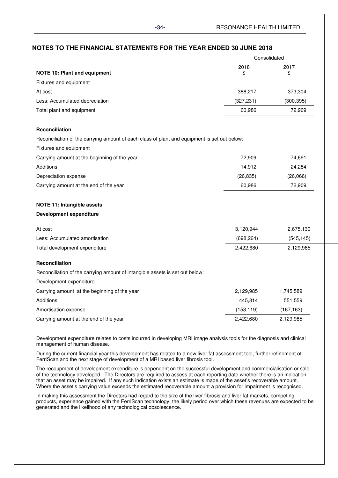|                                                                                              |            | Consolidated |
|----------------------------------------------------------------------------------------------|------------|--------------|
| <b>NOTE 10: Plant and equipment</b>                                                          | 2018<br>\$ | 2017<br>\$   |
| Fixtures and equipment                                                                       |            |              |
| At cost                                                                                      | 388,217    | 373,304      |
| Less: Accumulated depreciation                                                               | (327, 231) | (300, 395)   |
| Total plant and equipment                                                                    | 60,986     | 72,909       |
| <b>Reconciliation</b>                                                                        |            |              |
| Reconciliation of the carrying amount of each class of plant and equipment is set out below: |            |              |
| Fixtures and equipment                                                                       |            |              |
| Carrying amount at the beginning of the year                                                 | 72,909     | 74,691       |
| Additions                                                                                    | 14,912     | 24,284       |
| Depreciation expense                                                                         | (26, 835)  | (26,066)     |
| Carrying amount at the end of the year                                                       | 60,986     | 72,909       |
| <b>NOTE 11: Intangible assets</b>                                                            |            |              |
| <b>Development expenditure</b>                                                               |            |              |
| At cost                                                                                      | 3,120,944  | 2,675,130    |
| Less: Accumulated amortisation                                                               | (698, 264) | (545, 145)   |
| Total development expenditure                                                                | 2,422,680  | 2,129,985    |
| Reconciliation                                                                               |            |              |
| Reconciliation of the carrying amount of intangible assets is set out below:                 |            |              |
| Development expenditure                                                                      |            |              |
| Carrying amount at the beginning of the year                                                 | 2,129,985  | 1,745,589    |
| Additions                                                                                    | 445,814    | 551,559      |
| Amortisation expense                                                                         | (153, 119) | (167, 163)   |
| Carrying amount at the end of the year                                                       | 2,422,680  | 2,129,985    |

Development expenditure relates to costs incurred in developing MRI image analysis tools for the diagnosis and clinical management of human disease.

During the current financial year this development has related to a new liver fat assessment tool, further refinement of FerriScan and the next stage of development of a MRI based liver fibrosis tool.

The recoupment of development expenditure is dependent on the successful development and commercialisation or sale of the technology developed. The Directors are required to assess at each reporting date whether there is an indication that an asset may be impaired. If any such indication exists an estimate is made of the asset's recoverable amount. Where the asset's carrying value exceeds the estimated recoverable amount a provision for impairment is recognised.

In making this assessment the Directors had regard to the size of the liver fibrosis and liver fat markets, competing products, experience gained with the FerriScan technology, the likely period over which these revenues are expected to be generated and the likelihood of any technological obsolescence.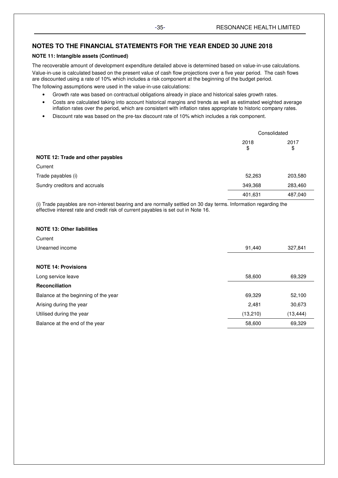# **NOTE 11: Intangible assets (Continued)**

The recoverable amount of development expenditure detailed above is determined based on value-in-use calculations. Value-in-use is calculated based on the present value of cash flow projections over a five year period. The cash flows are discounted using a rate of 10% which includes a risk component at the beginning of the budget period. The following assumptions were used in the value-in-use calculations:

• Growth rate was based on contractual obligations already in place and historical sales growth rates.

- Costs are calculated taking into account historical margins and trends as well as estimated weighted average inflation rates over the period, which are consistent with inflation rates appropriate to historic company rates.
- Discount rate was based on the pre-tax discount rate of 10% which includes a risk component.

|                                   | Consolidated |            |
|-----------------------------------|--------------|------------|
|                                   | 2018<br>\$   | 2017<br>\$ |
| NOTE 12: Trade and other payables |              |            |
| Current                           |              |            |
| Trade payables (i)                | 52,263       | 203,580    |
| Sundry creditors and accruals     | 349,368      | 283,460    |
|                                   | 401,631      | 487,040    |
|                                   |              |            |

(i) Trade payables are non-interest bearing and are normally settled on 30 day terms. Information regarding the effective interest rate and credit risk of current payables is set out in Note 16.

#### **NOTE 13: Other liabilities**

| Current                              |          |           |
|--------------------------------------|----------|-----------|
| Unearned income                      | 91,440   | 327,841   |
|                                      |          |           |
| <b>NOTE 14: Provisions</b>           |          |           |
| Long service leave                   | 58,600   | 69,329    |
| <b>Reconciliation</b>                |          |           |
| Balance at the beginning of the year | 69,329   | 52,100    |
| Arising during the year              | 2,481    | 30,673    |
| Utilised during the year             | (13,210) | (13, 444) |
| Balance at the end of the year       | 58,600   | 69,329    |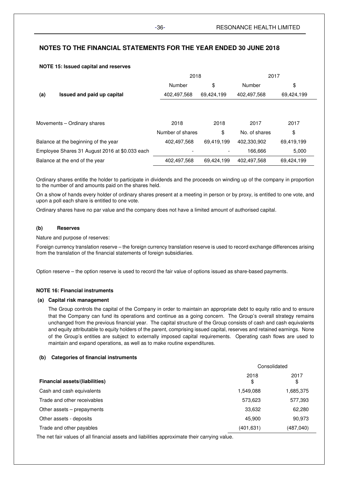|                                                | 2018             |            | 2017          |            |
|------------------------------------------------|------------------|------------|---------------|------------|
|                                                | Number           | \$         | Number        | \$         |
| (a)<br>Issued and paid up capital              | 402,497,568      | 69,424,199 | 402,497,568   | 69,424,199 |
|                                                |                  |            |               |            |
| Movements - Ordinary shares                    | 2018             | 2018       | 2017          | 2017       |
|                                                | Number of shares | \$         | No. of shares | \$         |
| Balance at the beginning of the year           | 402.497.568      | 69,419,199 | 402,330,902   | 69,419,199 |
| Employee Shares 31 August 2016 at \$0.033 each |                  |            | 166,666       | 5,000      |
| Balance at the end of the year                 | 402,497,568      | 69,424,199 | 402,497,568   | 69,424,199 |

Ordinary shares entitle the holder to participate in dividends and the proceeds on winding up of the company in proportion to the number of and amounts paid on the shares held.

On a show of hands every holder of ordinary shares present at a meeting in person or by proxy, is entitled to one vote, and upon a poll each share is entitled to one vote.

Ordinary shares have no par value and the company does not have a limited amount of authorised capital.

#### **(b) Reserves**

Nature and purpose of reserves:

**NOTE 15: Issued capital and reserves** 

Foreign currency translation reserve – the foreign currency translation reserve is used to record exchange differences arising from the translation of the financial statements of foreign subsidiaries.

Option reserve – the option reserve is used to record the fair value of options issued as share-based payments.

#### **NOTE 16: Financial instruments**

#### **(a) Capital risk management**

The Group controls the capital of the Company in order to maintain an appropriate debt to equity ratio and to ensure that the Company can fund its operations and continue as a going concern. The Group's overall strategy remains unchanged from the previous financial year. The capital structure of the Group consists of cash and cash equivalents and equity attributable to equity holders of the parent, comprising issued capital, reserves and retained earnings. None of the Group's entities are subject to externally imposed capital requirements. Operating cash flows are used to maintain and expand operations, as well as to make routine expenditures.

#### **(b) Categories of financial instruments**

|            | Consolidated |
|------------|--------------|
| 2018<br>\$ | 2017<br>\$   |
| 1,549,088  | 1,685,375    |
| 573,623    | 577,393      |
| 33,632     | 62,280       |
| 45.900     | 90,973       |
| (401,631)  | (487,040)    |
|            |              |

The net fair values of all financial assets and liabilities approximate their carrying value.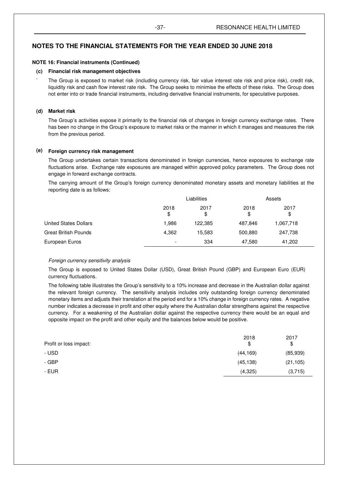#### **NOTE 16: Financial instruments (Continued)**

#### **(c) Financial risk management objectives**

The Group is exposed to market risk (including currency risk, fair value interest rate risk and price risk), credit risk, liquidity risk and cash flow interest rate risk. The Group seeks to minimise the effects of these risks. The Group does not enter into or trade financial instruments, including derivative financial instruments, for speculative purposes.

#### **(d) Market risk**

The Group's activities expose it primarily to the financial risk of changes in foreign currency exchange rates. There has been no change in the Group's exposure to market risks or the manner in which it manages and measures the risk from the previous period.

#### **(e) Foreign currency risk management**

The Group undertakes certain transactions denominated in foreign currencies, hence exposures to exchange rate fluctuations arise. Exchange rate exposures are managed within approved policy parameters. The Group does not engage in forward exchange contracts.

The carrying amount of the Group's foreign currency denominated monetary assets and monetary liabilities at the reporting date is as follows:

|                              | Liabilities |            | Assets     |            |  |  |
|------------------------------|-------------|------------|------------|------------|--|--|
|                              | 2018<br>\$  | 2017<br>\$ | 2018<br>\$ | 2017<br>\$ |  |  |
| <b>United States Dollars</b> | 1.986       | 122,385    | 487.846    | 1,067,718  |  |  |
| <b>Great British Pounds</b>  | 4,362       | 15,583     | 500,880    | 247,738    |  |  |
| European Euros               | -           | 334        | 47,580     | 41,202     |  |  |

#### Foreign currency sensitivity analysis

The Group is exposed to United States Dollar (USD), Great British Pound (GBP) and European Euro (EUR) currency fluctuations.

The following table illustrates the Group's sensitivity to a 10% increase and decrease in the Australian dollar against the relevant foreign currency. The sensitivity analysis includes only outstanding foreign currency denominated monetary items and adjusts their translation at the period end for a 10% change in foreign currency rates. A negative number indicates a decrease in profit and other equity where the Australian dollar strengthens against the respective currency. For a weakening of the Australian dollar against the respective currency there would be an equal and opposite impact on the profit and other equity and the balances below would be positive.

| Profit or loss impact: | 2018<br>\$ | 2017<br>\$ |
|------------------------|------------|------------|
| - USD                  | (44, 169)  | (85,939)   |
| - GBP                  | (45, 138)  | (21, 105)  |
| - EUR                  | (4,325)    | (3,715)    |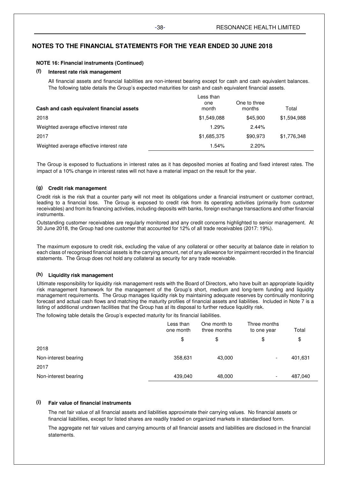#### **NOTE 16: Financial instruments (Continued)**

#### **(f) Interest rate risk management**

All financial assets and financial liabilities are non-interest bearing except for cash and cash equivalent balances. The following table details the Group's expected maturities for cash and cash equivalent financial assets.

| Cash and cash equivalent financial assets | Less than<br>one<br>month | One to three<br>months | Total       |
|-------------------------------------------|---------------------------|------------------------|-------------|
| 2018                                      | \$1,549,088               | \$45,900               | \$1,594,988 |
| Weighted average effective interest rate  | 1.29%                     | 2.44%                  |             |
| 2017                                      | \$1,685,375               | \$90,973               | \$1,776,348 |
| Weighted average effective interest rate  | 1.54%                     | 2.20%                  |             |

The Group is exposed to fluctuations in interest rates as it has deposited monies at floating and fixed interest rates. The impact of a 10% change in interest rates will not have a material impact on the result for the year.

#### **(g) Credit risk management**

Credit risk is the risk that a counter party will not meet its obligations under a financial instrument or customer contract, leading to a financial loss. The Group is exposed to credit risk from its operating activities (primarily from customer receivables) and from its financing activities, including deposits with banks, foreign exchange transactions and other financial instruments.

Outstanding customer receivables are regularly monitored and any credit concerns highlighted to senior management. At 30 June 2018, the Group had one customer that accounted for 12% of all trade receivables (2017: 19%).

The maximum exposure to credit risk, excluding the value of any collateral or other security at balance date in relation to each class of recognised financial assets is the carrying amount, net of any allowance for impairment recorded in the financial statements. The Group does not hold any collateral as security for any trade receivable.

#### **(h) Liquidity risk management**

Ultimate responsibility for liquidity risk management rests with the Board of Directors, who have built an appropriate liquidity risk management framework for the management of the Group's short, medium and long-term funding and liquidity management requirements. The Group manages liquidity risk by maintaining adequate reserves by continually monitoring forecast and actual cash flows and matching the maturity profiles of financial assets and liabilities. Included in Note 7 is a listing of additional undrawn facilities that the Group has at its disposal to further reduce liquidity risk.

The following table details the Group's expected maturity for its financial liabilities.

|                      | Less than<br>one month | One month to<br>three months | Three months<br>to one year | Total   |
|----------------------|------------------------|------------------------------|-----------------------------|---------|
|                      | \$                     | \$                           | \$                          | \$      |
| 2018                 |                        |                              |                             |         |
| Non-interest bearing | 358,631                | 43,000                       | -                           | 401,631 |
| 2017                 |                        |                              |                             |         |
| Non-interest bearing | 439,040                | 48,000                       | $\overline{\phantom{a}}$    | 487,040 |

#### **(i) Fair value of financial instruments**

The net fair value of all financial assets and liabilities approximate their carrying values. No financial assets or financial liabilities, except for listed shares are readily traded on organized markets in standardised form.

The aggregate net fair values and carrying amounts of all financial assets and liabilities are disclosed in the financial statements.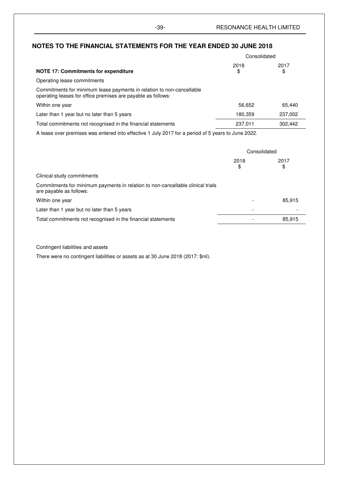|                                                                                                                                       | Consolidated |            |  |
|---------------------------------------------------------------------------------------------------------------------------------------|--------------|------------|--|
| NOTE 17: Commitments for expenditure                                                                                                  | 2018<br>\$   | 2017<br>\$ |  |
| Operating lease commitments                                                                                                           |              |            |  |
| Commitments for minimum lease payments in relation to non-cancellable<br>operating leases for office premises are payable as follows: |              |            |  |
| Within one year                                                                                                                       | 56,652       | 65.440     |  |
| Later than 1 year but no later than 5 years                                                                                           | 180,359      | 237,002    |  |
| Total commitments not recognised in the financial statements                                                                          | 237,011      | 302,442    |  |

A lease over premises was entered into effective 1 July 2017 for a period of 5 years to June 2022.

|                                                                                                            | Consolidated |            |  |
|------------------------------------------------------------------------------------------------------------|--------------|------------|--|
|                                                                                                            | 2018<br>\$   | 2017<br>\$ |  |
| Clinical study commitments                                                                                 |              |            |  |
| Commitments for minimum payments in relation to non-cancellable clinical trials<br>are payable as follows: |              |            |  |
| Within one year                                                                                            |              | 85,915     |  |
| Later than 1 year but no later than 5 years                                                                | -            |            |  |
| Total commitments not recognised in the financial statements                                               |              | 85.915     |  |

Contingent liabilities and assets

There were no contingent liabilities or assets as at 30 June 2018 (2017: \$nil).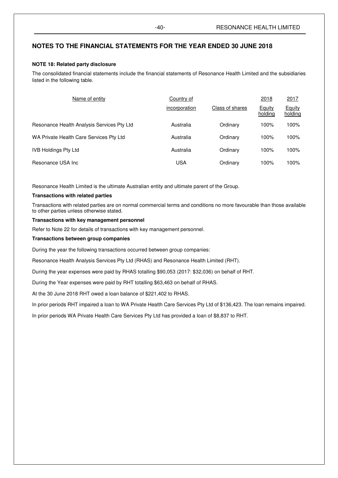#### **NOTE 18: Related party disclosure**

The consolidated financial statements include the financial statements of Resonance Health Limited and the subsidiaries listed in the following table.

| Name of entity                             | Country of    |                 | 2018                     | <u>2017</u>              |
|--------------------------------------------|---------------|-----------------|--------------------------|--------------------------|
|                                            | incorporation | Class of shares | <b>Equity</b><br>holding | <b>Equity</b><br>holding |
| Resonance Health Analysis Services Pty Ltd | Australia     | Ordinary        | 100%                     | 100%                     |
| WA Private Health Care Services Pty Ltd    | Australia     | Ordinary        | 100%                     | 100%                     |
| <b>IVB Holdings Pty Ltd</b>                | Australia     | Ordinary        | 100%                     | 100%                     |
| Resonance USA Inc.                         | <b>USA</b>    | Ordinary        | 100%                     | 100%                     |

Resonance Health Limited is the ultimate Australian entity and ultimate parent of the Group.

#### **Transactions with related parties**

Transactions with related parties are on normal commercial terms and conditions no more favourable than those available to other parties unless otherwise stated.

# **Transactions with key management personnel**

Refer to Note 22 for details of transactions with key management personnel.

#### **Transactions between group companies**

During the year the following transactions occurred between group companies:

Resonance Health Analysis Services Pty Ltd (RHAS) and Resonance Health Limited (RHT).

During the year expenses were paid by RHAS totalling \$90,053 (2017: \$32,036) on behalf of RHT.

During the Year expenses were paid by RHT totalling \$63,463 on behalf of RHAS.

At the 30 June 2018 RHT owed a loan balance of \$221,402 to RHAS.

In prior periods RHT impaired a loan to WA Private Health Care Services Pty Ltd of \$136,423. The loan remains impaired.

In prior periods WA Private Health Care Services Pty Ltd has provided a loan of \$8,837 to RHT.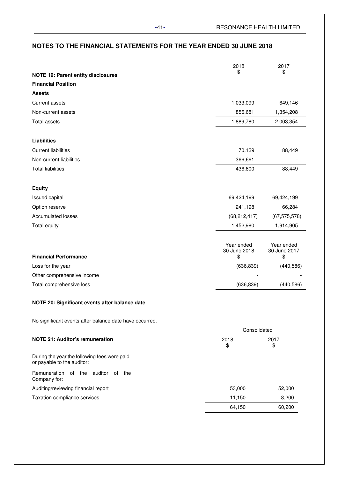|                                                                            | 2018                             | 2017                             |
|----------------------------------------------------------------------------|----------------------------------|----------------------------------|
| <b>NOTE 19: Parent entity disclosures</b>                                  | \$                               | \$                               |
| <b>Financial Position</b>                                                  |                                  |                                  |
| <b>Assets</b>                                                              |                                  |                                  |
| <b>Current assets</b>                                                      | 1,033,099                        | 649,146                          |
| Non-current assets                                                         | 856.681                          | 1,354,208                        |
| <b>Total assets</b>                                                        | 1,889,780                        | 2,003,354                        |
| <b>Liabilities</b>                                                         |                                  |                                  |
| <b>Current liabilities</b>                                                 | 70,139                           | 88,449                           |
| Non-current liabilities                                                    | 366,661                          |                                  |
| <b>Total liabilities</b>                                                   | 436,800                          | 88,449                           |
| <b>Equity</b>                                                              |                                  |                                  |
| Issued capital                                                             | 69,424,199                       | 69,424,199                       |
| Option reserve                                                             | 241,198                          | 66,284                           |
| <b>Accumulated losses</b>                                                  | (68, 212, 417)                   | (67, 575, 578)                   |
| <b>Total equity</b>                                                        | 1,452,980                        | 1,914,905                        |
| <b>Financial Performance</b>                                               | Year ended<br>30 June 2018<br>\$ | Year ended<br>30 June 2017<br>\$ |
| Loss for the year                                                          | (636, 839)                       | (440, 586)                       |
| Other comprehensive income                                                 |                                  |                                  |
| Total comprehensive loss                                                   | (636, 839)                       | (440, 586)                       |
|                                                                            |                                  |                                  |
| NOTE 20: Significant events after balance date                             |                                  |                                  |
| No significant events after balance date have occurred.                    |                                  |                                  |
|                                                                            | Consolidated                     |                                  |
| <b>NOTE 21: Auditor's remuneration</b>                                     | 2018<br>\$                       | 2017<br>\$                       |
| During the year the following fees were paid<br>or payable to the auditor: |                                  |                                  |
| Remuneration<br>of the<br>auditor of the<br>Company for:                   |                                  |                                  |
| Auditing/reviewing financial report                                        | 53,000                           | 52,000                           |
| Taxation compliance services                                               | 11,150                           | 8,200                            |
|                                                                            | 64,150                           | 60,200                           |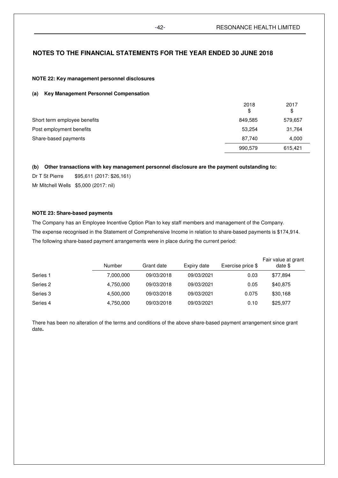#### **NOTE 22: Key management personnel disclosures**

#### **(a) Key Management Personnel Compensation**

|                              | 2018<br>\$ | 2017<br>\$ |
|------------------------------|------------|------------|
| Short term employee benefits | 849,585    | 579,657    |
| Post employment benefits     | 53,254     | 31,764     |
| Share-based payments         | 87.740     | 4,000      |
|                              | 990,579    | 615,421    |

#### **(b) Other transactions with key management personnel disclosure are the payment outstanding to:**

Dr T St Pierre \$95,611 (2017: \$26,161)

Mr Mitchell Wells \$5,000 (2017: nil)

#### **NOTE 23: Share-based payments**

The Company has an Employee Incentive Option Plan to key staff members and management of the Company. The expense recognised in the Statement of Comprehensive Income in relation to share-based payments is \$174,914. The following share-based payment arrangements were in place during the current period:

|                     | Number    | Grant date | Expiry date | Exercise price \$ | Fair value at grant<br>date \$ |
|---------------------|-----------|------------|-------------|-------------------|--------------------------------|
| Series <sub>1</sub> | 7,000,000 | 09/03/2018 | 09/03/2021  | 0.03              | \$77,894                       |
| Series 2            | 4,750,000 | 09/03/2018 | 09/03/2021  | 0.05              | \$40,875                       |
| Series 3            | 4,500,000 | 09/03/2018 | 09/03/2021  | 0.075             | \$30,168                       |
| Series 4            | 4,750,000 | 09/03/2018 | 09/03/2021  | 0.10              | \$25,977                       |

There has been no alteration of the terms and conditions of the above share-based payment arrangement since grant date**.**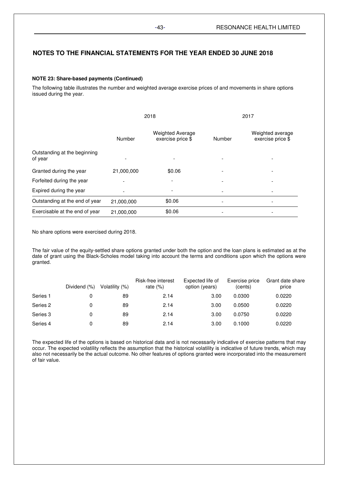#### **NOTE 23: Share-based payments (Continued)**

The following table illustrates the number and weighted average exercise prices of and movements in share options issued during the year.

|                                         | 2018       |                                              | 2017   |                                       |  |
|-----------------------------------------|------------|----------------------------------------------|--------|---------------------------------------|--|
|                                         | Number     | <b>Weighted Average</b><br>exercise price \$ | Number | Weighted average<br>exercise price \$ |  |
| Outstanding at the beginning<br>of year |            |                                              |        |                                       |  |
| Granted during the year                 | 21,000,000 | \$0.06                                       |        |                                       |  |
| Forfeited during the year               |            |                                              |        |                                       |  |
| Expired during the year                 |            |                                              |        |                                       |  |
| Outstanding at the end of year          | 21,000,000 | \$0.06                                       |        |                                       |  |
| Exercisable at the end of year          | 21,000,000 | \$0.06                                       |        |                                       |  |

No share options were exercised during 2018.

The fair value of the equity-settled share options granted under both the option and the loan plans is estimated as at the date of grant using the Black-Scholes model taking into account the terms and conditions upon which the options were granted.

|                     | Dividend (%) | Volatility (%) | Risk-free interest<br>rate $(\%)$ | Expected life of<br>option (years) | Exercise price<br>(cents) | Grant date share<br>price |
|---------------------|--------------|----------------|-----------------------------------|------------------------------------|---------------------------|---------------------------|
| Series <sub>1</sub> |              | 89             | 2.14                              | 3.00                               | 0.0300                    | 0.0220                    |
| Series 2            | 0            | 89             | 2.14                              | 3.00                               | 0.0500                    | 0.0220                    |
| Series 3            | 0            | 89             | 2.14                              | 3.00                               | 0.0750                    | 0.0220                    |
| Series 4            | 0            | 89             | 2.14                              | 3.00                               | 0.1000                    | 0.0220                    |

The expected life of the options is based on historical data and is not necessarily indicative of exercise patterns that may occur. The expected volatility reflects the assumption that the historical volatility is indicative of future trends, which may also not necessarily be the actual outcome. No other features of options granted were incorporated into the measurement of fair value.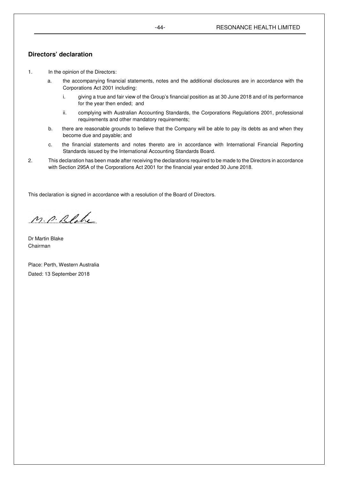# **Directors' declaration**

- 1. In the opinion of the Directors:
	- a. the accompanying financial statements, notes and the additional disclosures are in accordance with the Corporations Act 2001 including:
		- i. giving a true and fair view of the Group's financial position as at 30 June 2018 and of its performance for the year then ended; and
		- ii. complying with Australian Accounting Standards, the Corporations Regulations 2001, professional requirements and other mandatory requirements;
	- b. there are reasonable grounds to believe that the Company will be able to pay its debts as and when they become due and payable; and
	- c. the financial statements and notes thereto are in accordance with International Financial Reporting Standards issued by the International Accounting Standards Board.
- 2. This declaration has been made after receiving the declarations required to be made to the Directors in accordance with Section 295A of the Corporations Act 2001 for the financial year ended 30 June 2018.

This declaration is signed in accordance with a resolution of the Board of Directors.

M. P. Blake

Dr Martin Blake Chairman

Place: Perth, Western Australia Dated: 13 September 2018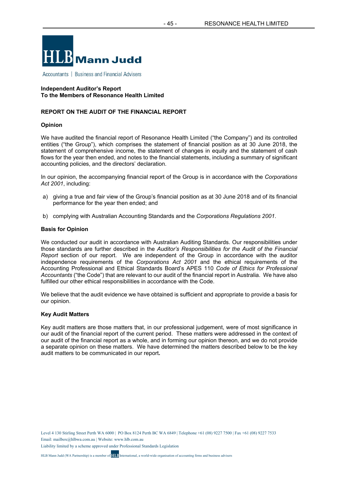

Accountants | Business and Financial Advisers

# **Independent Auditor's Report To the Members of Resonance Health Limited**

# **REPORT ON THE AUDIT OF THE FINANCIAL REPORT**

#### **Opinion**

We have audited the financial report of Resonance Health Limited ("the Company") and its controlled entities ("the Group"), which comprises the statement of financial position as at 30 June 2018, the statement of comprehensive income, the statement of changes in equity and the statement of cash flows for the year then ended, and notes to the financial statements, including a summary of significant accounting policies, and the directors' declaration.

In our opinion, the accompanying financial report of the Group is in accordance with the *Corporations Act 2001*, including:

- a) giving a true and fair view of the Group's financial position as at 30 June 2018 and of its financial performance for the year then ended; and
- b) complying with Australian Accounting Standards and the *Corporations Regulations 2001*.

#### **Basis for Opinion**

We conducted our audit in accordance with Australian Auditing Standards. Our responsibilities under those standards are further described in the *Auditor's Responsibilities for the Audit of the Financial Report* section of our report. We are independent of the Group in accordance with the auditor independence requirements of the *Corporations Act 2001* and the ethical requirements of the Accounting Professional and Ethical Standards Board's APES 110 *Code of Ethics for Professional Accountants* ("the Code") that are relevant to our audit of the financial report in Australia. We have also fulfilled our other ethical responsibilities in accordance with the Code.

We believe that the audit evidence we have obtained is sufficient and appropriate to provide a basis for our opinion.

#### **Key Audit Matters**

Key audit matters are those matters that, in our professional judgement, were of most significance in our audit of the financial report of the current period. These matters were addressed in the context of our audit of the financial report as a whole, and in forming our opinion thereon, and we do not provide a separate opinion on these matters. We have determined the matters described below to be the key audit matters to be communicated in our report**.** 

Level 4 130 Stirling Street Perth WA 6000 | PO Box 8124 Perth BC WA 6849 | Telephone +61 (08) 9227 7500 | Fax +61 (08) 9227 7533 Email: mailbox@hlbwa.com.au | Website: www.hlb.com.au

Liability limited by a scheme approved under Professional Standards Legislation

HLB Mann Judd (WA Partnership) is a member of **HLB** International, a world-wide organisation of accounting firms and business advisers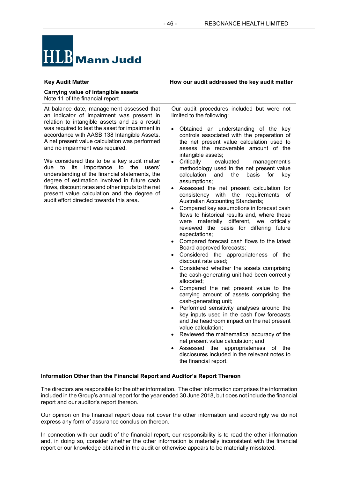# $J\overline{\mathrm{B}}$ Mann Judd

# Key Audit Matter **How our audit addressed the key audit matter**

#### **Carrying value of intangible assets**  Note 11 of the financial report

At balance date, management assessed that an indicator of impairment was present in relation to intangible assets and as a result was required to test the asset for impairment in accordance with AASB 138 Intangible Assets. A net present value calculation was performed and no impairment was required.

We considered this to be a key audit matter due to its importance to the users' understanding of the financial statements, the degree of estimation involved in future cash flows, discount rates and other inputs to the net present value calculation and the degree of audit effort directed towards this area.

Our audit procedures included but were not limited to the following:

- Obtained an understanding of the key controls associated with the preparation of the net present value calculation used to assess the recoverable amount of the intangible assets;
- Critically evaluated management's methodology used in the net present value calculation and the basis for key assumptions;
- Assessed the net present calculation for consistency with the requirements of Australian Accounting Standards;
- Compared key assumptions in forecast cash flows to historical results and, where these were materially different, we critically reviewed the basis for differing future expectations;
- Compared forecast cash flows to the latest Board approved forecasts;
- Considered the appropriateness of the discount rate used;
- Considered whether the assets comprising the cash-generating unit had been correctly allocated;
- Compared the net present value to the carrying amount of assets comprising the cash-generating unit;
- Performed sensitivity analyses around the key inputs used in the cash flow forecasts and the headroom impact on the net present value calculation;
- Reviewed the mathematical accuracy of the net present value calculation; and
- Assessed the appropriateness of the disclosures included in the relevant notes to the financial report.

# **Information Other than the Financial Report and Auditor's Report Thereon**

The directors are responsible for the other information. The other information comprises the information included in the Group's annual report for the year ended 30 June 2018, but does not include the financial report and our auditor's report thereon.

Our opinion on the financial report does not cover the other information and accordingly we do not express any form of assurance conclusion thereon.

In connection with our audit of the financial report, our responsibility is to read the other information and, in doing so, consider whether the other information is materially inconsistent with the financial report or our knowledge obtained in the audit or otherwise appears to be materially misstated.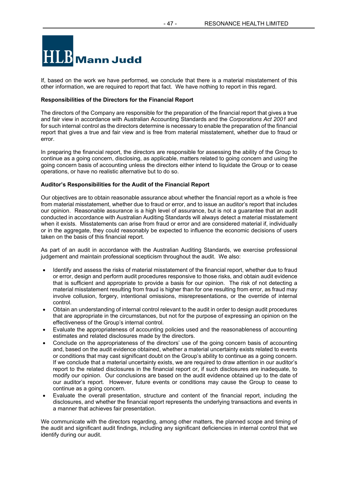# $\overline{\mathbf{B}}$ Mann Judd

If, based on the work we have performed, we conclude that there is a material misstatement of this other information, we are required to report that fact. We have nothing to report in this regard.

# **Responsibilities of the Directors for the Financial Report**

The directors of the Company are responsible for the preparation of the financial report that gives a true and fair view in accordance with Australian Accounting Standards and the *Corporations Act 2001* and for such internal control as the directors determine is necessary to enable the preparation of the financial report that gives a true and fair view and is free from material misstatement, whether due to fraud or error.

In preparing the financial report, the directors are responsible for assessing the ability of the Group to continue as a going concern, disclosing, as applicable, matters related to going concern and using the going concern basis of accounting unless the directors either intend to liquidate the Group or to cease operations, or have no realistic alternative but to do so.

#### **Auditor's Responsibilities for the Audit of the Financial Report**

Our objectives are to obtain reasonable assurance about whether the financial report as a whole is free from material misstatement, whether due to fraud or error, and to issue an auditor's report that includes our opinion. Reasonable assurance is a high level of assurance, but is not a guarantee that an audit conducted in accordance with Australian Auditing Standards will always detect a material misstatement when it exists. Misstatements can arise from fraud or error and are considered material if, individually or in the aggregate, they could reasonably be expected to influence the economic decisions of users taken on the basis of this financial report.

As part of an audit in accordance with the Australian Auditing Standards, we exercise professional judgement and maintain professional scepticism throughout the audit. We also:

- Identify and assess the risks of material misstatement of the financial report, whether due to fraud or error, design and perform audit procedures responsive to those risks, and obtain audit evidence that is sufficient and appropriate to provide a basis for our opinion. The risk of not detecting a material misstatement resulting from fraud is higher than for one resulting from error, as fraud may involve collusion, forgery, intentional omissions, misrepresentations, or the override of internal control.
- Obtain an understanding of internal control relevant to the audit in order to design audit procedures that are appropriate in the circumstances, but not for the purpose of expressing an opinion on the effectiveness of the Group's internal control.
- Evaluate the appropriateness of accounting policies used and the reasonableness of accounting estimates and related disclosures made by the directors.
- Conclude on the appropriateness of the directors' use of the going concern basis of accounting and, based on the audit evidence obtained, whether a material uncertainty exists related to events or conditions that may cast significant doubt on the Group's ability to continue as a going concern. If we conclude that a material uncertainty exists, we are required to draw attention in our auditor's report to the related disclosures in the financial report or, if such disclosures are inadequate, to modify our opinion. Our conclusions are based on the audit evidence obtained up to the date of our auditor's report. However, future events or conditions may cause the Group to cease to continue as a going concern.
- Evaluate the overall presentation, structure and content of the financial report, including the disclosures, and whether the financial report represents the underlying transactions and events in a manner that achieves fair presentation.

We communicate with the directors regarding, among other matters, the planned scope and timing of the audit and significant audit findings, including any significant deficiencies in internal control that we identify during our audit.